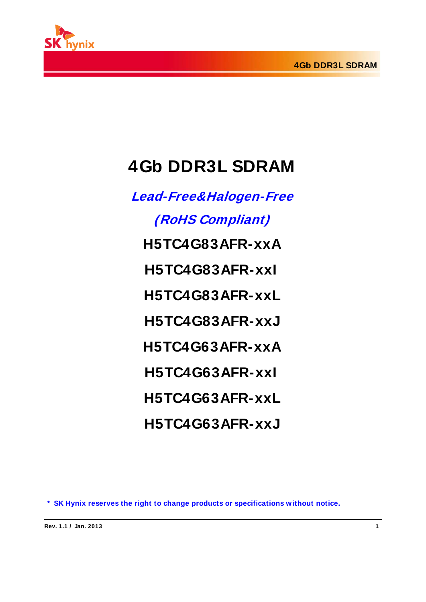

# **4Gb DDR3L SDRAM**

**Lead-Free&Halogen-Free (RoHS Compliant) H5TC4G83AFR-xxA H5TC4G83AFR-xxI H5TC4G83AFR-xxL H5TC4G83AFR-xxJ H5TC4G63AFR-xxA H5TC4G63AFR-xxI H5TC4G63AFR-xxL H5TC4G63AFR-xxJ**

**\* SK Hynix reserves the right to change products or specifications without notice.**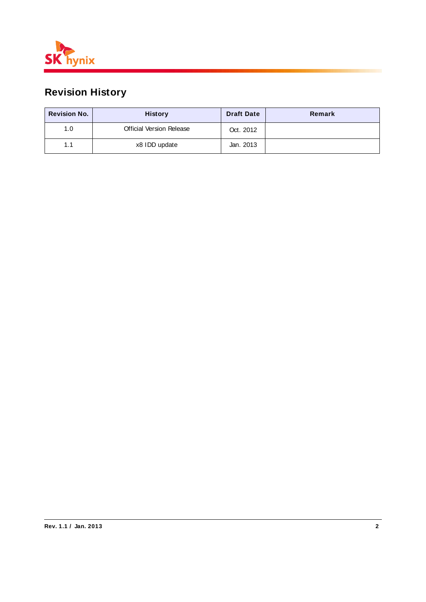

# **Revision History**

| <b>Revision No.</b> | <b>History</b>                  | <b>Draft Date</b> | Remark |
|---------------------|---------------------------------|-------------------|--------|
| 1.0                 | <b>Official Version Release</b> | Oct. 2012         |        |
| 1.1                 | x8 IDD update                   | Jan. 2013         |        |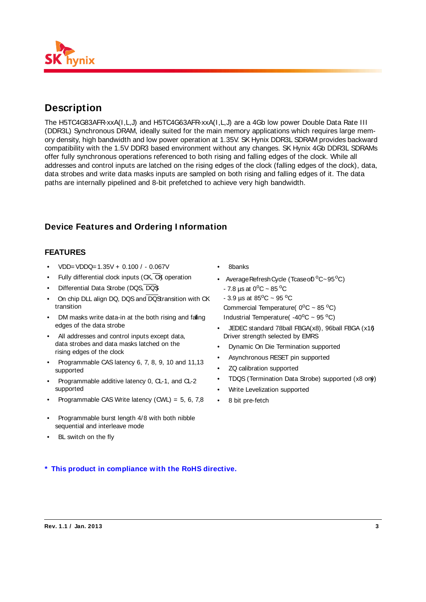

# **Description**

The H5TC4G83AFR-xxA(I,L,J) and H5TC4G63AFR-xxA(I,L,J) are a 4Gb low power Double Data Rate III (DDR3L) Synchronous DRAM, ideally suited for the main memory applications which requires large memory density, high bandwidth and low power operation at 1.35V. SK Hynix DDR3L SDRAM provides backward compatibility with the 1.5V DDR3 based environment without any changes. SK Hynix 4Gb DDR3L SDRAMs offer fully synchronous operations referenced to both rising and falling edges of the clock. While all addresses and control inputs are latched on the rising edges of the clock (falling edges of the clock), data, data strobes and write data masks inputs are sampled on both rising and falling edges of it. The data paths are internally pipelined and 8-bit prefetched to achieve very high bandwidth.

### **Device Features and Ordering I nformation**

#### **FEATURES**

- $VDD = VDDQ = 1.35V + 0.100 / 0.067V$
- Fully differential clock inputs  $(CK, \overline{CK})$  operation
- Differential Data Strobe (DQS, DQS)
- On chip DLL align DQ, DQS and DQS ransition with CK transition
- DM masks write data-in at the both rising and falling edges of the data strobe
- All addresses and control inputs except data, data strobes and data masks latched on the rising edges of the clock
- Programmable CAS latency 6, 7, 8, 9, 10 and 11, 13 supported
- Programmable additive latency 0, CL-1, and CL-2 supported
- Programmable CAS Write latency  $(CWL) = 5, 6, 7, 8$
- Programmable burst length 4/8 with both nibble sequential and interleave mode
- BL switch on the fly
- 8banks
- Average Refresh Cycle (Tcase of  ${}^{0}C \sim 95 {}^{0}C$ )  $-7.8 \,\mu s$  at 0<sup>o</sup>C ~ 85<sup>o</sup>C
- $-3.9 \,\mu s$  at 85<sup>o</sup>C ~ 95 <sup>o</sup>C
- Commercial Temperature( $0^{\circ}$ C ~ 85 $^{\circ}$ C)
- Industrial Temperature( $-40^{\circ}$ C ~ 95 $^{\circ}$ C)
- JEDEC standard 78ball FBGA(x8), 96ball FBGA (x16) Driver strength selected by EMRS
- Dynamic On Die Termination supported
- Asynchronous RESET pin supported
- ZQ calibration supported
- TDQS (Termination Data Strobe) supported (x8 only)
- Write Levelization supported
- 8 bit pre-fetch

**\* This product in compliance with the RoHS directive.**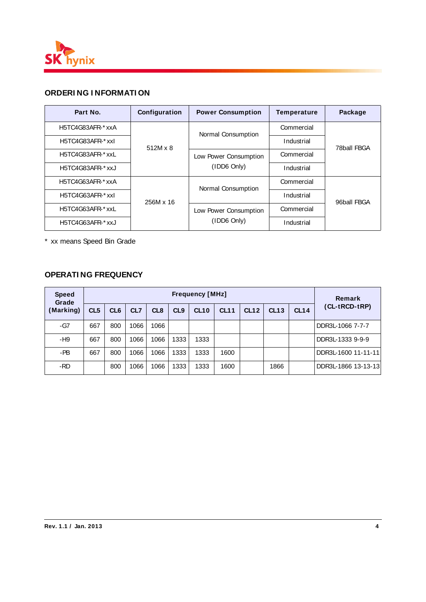

### **ORDERI NG I NFORMATI ON**

| Part No.          | Configuration   | <b>Power Consumption</b> | Temperature | Package     |  |
|-------------------|-----------------|--------------------------|-------------|-------------|--|
| H5TC4G83AFR-* xxA |                 | Normal Consumption       | Commercial  |             |  |
| H5TC4G83AFR-* xxl | $512M \times 8$ |                          | Industrial  | 78ball FBGA |  |
| H5TC4G83AFR-* xxL |                 | Low Power Consumption    | Commercial  |             |  |
| H5TC4G83AFR-* xxJ |                 | (IDD6 Only)              | Industrial  |             |  |
| H5TC4G63AFR-* xxA |                 | Normal Consumption       | Commercial  |             |  |
| H5TC4G63AFR-* xxl | 256M x 16       |                          | Industrial  | 96ball FBGA |  |
| H5TC4G63AFR-* xxL |                 | Low Power Consumption    | Commercial  |             |  |
| H5TC4G63AFR-* xxJ |                 | (IDD6 Only)              | Industrial  |             |  |

\* xx means Speed Bin Grade

### **OPERATI NG FREQUENCY**

| <b>Speed</b><br>Grade | <b>Frequency [MHz]</b> |                 |                 |                 |                 |             |      |             |      |             | <b>Remark</b>       |  |  |  |  |
|-----------------------|------------------------|-----------------|-----------------|-----------------|-----------------|-------------|------|-------------|------|-------------|---------------------|--|--|--|--|
| (Marking)             | CL <sub>5</sub>        | CL <sub>6</sub> | CL <sub>7</sub> | CL <sub>8</sub> | CL <sub>9</sub> | <b>CL10</b> | CL11 | <b>CL12</b> | CL13 | <b>CL14</b> | (CL-tRCD-tRP)       |  |  |  |  |
| -G7                   | 667                    | 800             | 1066            | 1066            |                 |             |      |             |      |             | DDR3L-1066 7-7-7    |  |  |  |  |
| -H9                   | 667                    | 800             | 1066            | 1066            | 1333            | 1333        |      |             |      |             | DDR3L-1333 9-9-9    |  |  |  |  |
| -PB                   | 667                    | 800             | 1066            | 1066            | 1333            | 1333        | 1600 |             |      |             | DDR3L-1600 11-11-11 |  |  |  |  |
| -RD                   |                        | 800             | 1066            | 1066            | 1333            | 1333        | 1600 |             | 1866 |             | DDR3L-1866 13-13-13 |  |  |  |  |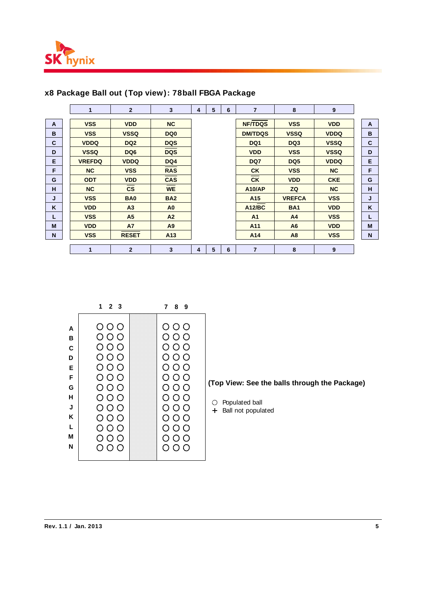

|    | $\blacksquare$ | $\overline{2}$         | 3                       | 4 | 5 | 6 | $\overline{7}$  | 8               | 9           |              |
|----|----------------|------------------------|-------------------------|---|---|---|-----------------|-----------------|-------------|--------------|
| A  | <b>VSS</b>     | <b>VDD</b>             | NC                      |   |   |   | <b>NF/TDQS</b>  | <b>VSS</b>      | <b>VDD</b>  | $\mathbf{A}$ |
| в  | <b>VSS</b>     | <b>VSSQ</b>            | DQ <sub>0</sub>         |   |   |   | <b>DM/TDQS</b>  | <b>VSSQ</b>     | <b>VDDQ</b> | B            |
| C  | <b>VDDQ</b>    | DQ <sub>2</sub>        | <b>DQS</b>              |   |   |   | DQ1             | DQ3             | <b>VSSQ</b> | $\mathbf c$  |
| D  | <b>VSSQ</b>    | DQ <sub>6</sub>        | <b>DQS</b>              |   |   |   | <b>VDD</b>      | <b>VSS</b>      | <b>VSSQ</b> | D            |
| E  | <b>VREFDQ</b>  | <b>VDDQ</b>            | DQ4                     |   |   |   | DQ7             | DQ <sub>5</sub> | <b>VDDQ</b> | E            |
| F  | NC             | <b>VSS</b>             | <b>RAS</b>              |   |   |   | <b>CK</b>       | <b>VSS</b>      | <b>NC</b>   | F            |
| G  | <b>ODT</b>     | <b>VDD</b>             | <b>CAS</b>              |   |   |   | <b>CK</b>       | <b>VDD</b>      | <b>CKE</b>  | G            |
| н  | <b>NC</b>      | $\overline{\text{cs}}$ | <b>WE</b>               |   |   |   | <b>A10/AP</b>   | ZQ              | <b>NC</b>   | H            |
| J  | <b>VSS</b>     | <b>BA0</b>             | <b>BA2</b>              |   |   |   | A <sub>15</sub> | <b>VREFCA</b>   | <b>VSS</b>  | J            |
| K  | <b>VDD</b>     | A <sub>3</sub>         | A <sub>0</sub>          |   |   |   | <b>A12/BC</b>   | <b>BA1</b>      | <b>VDD</b>  | K            |
| L. | <b>VSS</b>     | A <sub>5</sub>         | A2                      |   |   |   | A <sub>1</sub>  | A <sub>4</sub>  | <b>VSS</b>  | L            |
| M  | <b>VDD</b>     | <b>A7</b>              | A9                      |   |   |   | A11             | A <sub>6</sub>  | <b>VDD</b>  | M            |
| N  | <b>VSS</b>     | <b>RESET</b>           | A <sub>13</sub>         |   |   |   | A14             | A8              | <b>VSS</b>  | $\mathsf{N}$ |
|    |                |                        |                         |   |   |   |                 |                 |             |              |
|    | 1              | $\overline{2}$         | $\overline{\mathbf{3}}$ | 4 | 5 | 6 | $\overline{7}$  | 8               | 9           |              |

### **x8 Package Ball out (Top view): 78ball FBGA Package**

| 789                                                                                                                                                                             |
|---------------------------------------------------------------------------------------------------------------------------------------------------------------------------------|
| 000<br>$\circ$ $\circ$ $\circ$<br>000<br>000<br>000<br>$\circ$ $\circ$ $\circ$<br>$\circ$ $\circ$ $\circ$<br>000<br>$O$ $O$ $O$<br>000<br>$\circ$ $\circ$ $\circ$<br>000<br>000 |
|                                                                                                                                                                                 |

**(Top View: See the balls through the Package)** 

Populated ball

Ball not populated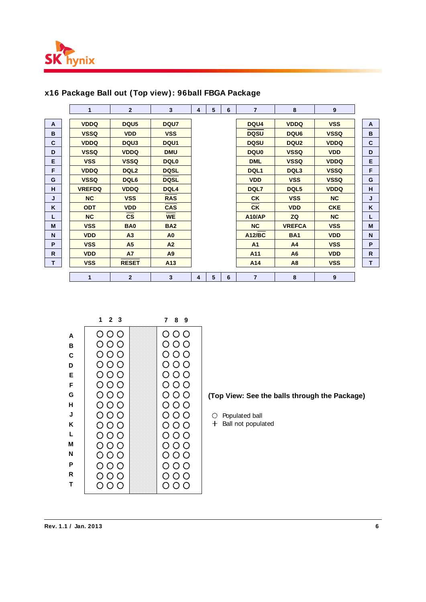

|    | 1             | $\overline{2}$   | $\mathbf{3}$     | 4 | 5 | 6 | $\overline{7}$ | 8                | 9           |              |
|----|---------------|------------------|------------------|---|---|---|----------------|------------------|-------------|--------------|
| A  | <b>VDDQ</b>   | DQU <sub>5</sub> | DQU7             |   |   |   | DQU4           | <b>VDDQ</b>      | <b>VSS</b>  | A            |
|    |               |                  |                  |   |   |   |                |                  |             |              |
| B  | <b>VSSQ</b>   | <b>VDD</b>       | <b>VSS</b>       |   |   |   | <b>DQSU</b>    | DQU6             | <b>VSSQ</b> | B            |
| C  | <b>VDDQ</b>   | DQU <sub>3</sub> | DQU <sub>1</sub> |   |   |   | <b>DQSU</b>    | DQU <sub>2</sub> | <b>VDDQ</b> | C            |
| D  | <b>VSSQ</b>   | <b>VDDQ</b>      | <b>DMU</b>       |   |   |   | <b>DQU0</b>    | <b>VSSQ</b>      | <b>VDD</b>  | D            |
| E  | <b>VSS</b>    | <b>VSSQ</b>      | <b>DQL0</b>      |   |   |   | <b>DML</b>     | <b>VSSQ</b>      | <b>VDDQ</b> | E            |
| F  | <b>VDDQ</b>   | DQL <sub>2</sub> | <b>DQSL</b>      |   |   |   | DQL1           | DQL <sub>3</sub> | <b>VSSQ</b> | F            |
| G  | <b>VSSQ</b>   | DQL6             | <b>DQSL</b>      |   |   |   | <b>VDD</b>     | <b>VSS</b>       | <b>VSSQ</b> | G            |
| H  | <b>VREFDQ</b> | <b>VDDQ</b>      | DQL4             |   |   |   | DQL7           | DQL5             | <b>VDDQ</b> | H            |
| J  | NC            | <b>VSS</b>       | <b>RAS</b>       |   |   |   | <b>CK</b>      | <b>VSS</b>       | NC          | J            |
| K  | <b>ODT</b>    | <b>VDD</b>       | <b>CAS</b>       |   |   |   | <b>CK</b>      | <b>VDD</b>       | <b>CKE</b>  | K            |
| L  | <b>NC</b>     | $\mathsf{cs}$    | <b>WE</b>        |   |   |   | <b>A10/AP</b>  | ZQ               | NC          | L            |
| M  | <b>VSS</b>    | <b>BA0</b>       | <b>BA2</b>       |   |   |   | <b>NC</b>      | <b>VREFCA</b>    | <b>VSS</b>  | M            |
| N  | <b>VDD</b>    | A <sub>3</sub>   | A <sub>0</sub>   |   |   |   | <b>A12/BC</b>  | <b>BA1</b>       | <b>VDD</b>  | N            |
| P  | <b>VSS</b>    | A <sub>5</sub>   | A <sub>2</sub>   |   |   |   | A <sub>1</sub> | A <sub>4</sub>   | <b>VSS</b>  | P            |
| R  | <b>VDD</b>    | <b>A7</b>        | A9               |   |   |   | A11            | A <sub>6</sub>   | <b>VDD</b>  | $\mathsf{R}$ |
| T. | <b>VSS</b>    | <b>RESET</b>     | A <sub>13</sub>  |   |   |   | A14            | A <sub>8</sub>   | <b>VSS</b>  | T            |
|    |               |                  |                  |   |   |   |                |                  |             |              |
|    | 1             | $\overline{2}$   | 3                | 4 | 5 | 6 | $\overline{7}$ | 8                | 9           |              |

### **x16 Package Ball out (Top view): 96ball FBGA Package**

|   | 2 <sub>3</sub><br>1 | 89<br>7                 |
|---|---------------------|-------------------------|
| A | $\circ$ $\circ$     | $\circ$ $\circ$ $\circ$ |
| в | 000                 | 000                     |
| C | 000                 | $\circ$ $\circ$ $\circ$ |
| D | $\circ$ $\circ$     | $\circ$ $\circ$ $\circ$ |
| E | $\circ$ $\circ$     | $\circ$ $\circ$         |
| F | $\circ$ $\circ$     | $\circ$ $\circ$ $\circ$ |
| G | $\circ$ $\circ$     | 000                     |
| н | 000                 | 000                     |
| J | $\circ$ $\circ$     | 000                     |
| Κ | $\circ$ $\circ$     | $\circ$ $\circ$ $\circ$ |
| L | $\circ$ $\circ$     | 000                     |
| М | 000                 | $\circ$ $\circ$         |
| N | $\circ$ $\circ$     | $\circ$ $\circ$ $\circ$ |
| P | $\circ$ $\circ$     | $\circ$ $\circ$ $\circ$ |
| R | $\circ$ $\circ$     | $\circ$ $\circ$         |
| т | 000                 | 000                     |

**(Top View: See the balls through the Package)** 

 $\bigcirc$  Populated ball

 $+$  Ball not populated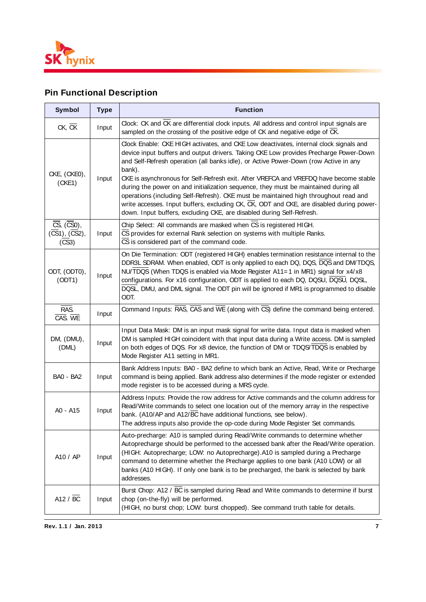

# **Pin Functional Description**

| <b>Symbol</b>                                                                  | <b>Type</b> | <b>Function</b>                                                                                                                                                                                                                                                                                                                                                                                                                                                                                                                                                                                                                                                                                                               |
|--------------------------------------------------------------------------------|-------------|-------------------------------------------------------------------------------------------------------------------------------------------------------------------------------------------------------------------------------------------------------------------------------------------------------------------------------------------------------------------------------------------------------------------------------------------------------------------------------------------------------------------------------------------------------------------------------------------------------------------------------------------------------------------------------------------------------------------------------|
| $CK$ , $CK$                                                                    | Input       | Clock: CK and CK are differential clock inputs. All address and control input signals are<br>sampled on the crossing of the positive edge of CK and negative edge of CK.                                                                                                                                                                                                                                                                                                                                                                                                                                                                                                                                                      |
| CKE, (CKE0),<br>Input<br>(CKE1)                                                |             | Clock Enable: CKE HIGH activates, and CKE Low deactivates, internal clock signals and<br>device input buffers and output drivers. Taking CKE Low provides Precharge Power-Down<br>and Self-Refresh operation (all banks idle), or Active Power-Down (row Active in any<br>bank).<br>CKE is asynchronous for Self-Refresh exit. After VREFCA and VREFDQ have become stable<br>during the power on and initialization sequence, they must be maintained during all<br>operations (including Self-Refresh). CKE must be maintained high throughout read and<br>write accesses. Input buffers, excluding CK, CK, ODT and CKE, are disabled during power-<br>down. Input buffers, excluding CKE, are disabled during Self-Refresh. |
| $\overline{\text{CS}}$ , $(\overline{\text{CS}}0)$ ,<br>(CS1), (CS2),<br>(CS3) | Input       | Chip Select: All commands are masked when CS is registered HIGH.<br>CS provides for external Rank selection on systems with multiple Ranks.<br>CS is considered part of the command code.                                                                                                                                                                                                                                                                                                                                                                                                                                                                                                                                     |
| ODT, (ODT0),<br>(ODT1)                                                         | Input       | On Die Termination: ODT (registered HIGH) enables termination resistance internal to the<br>DDR3L SDRAM. When enabled, ODT is only applied to each DQ, DQS, DQS and DM/TDQS,<br>NU/TDQS (When TDQS is enabled via Mode Register A11=1 in MR1) signal for x4/x8<br>configurations. For x16 configuration, ODT is applied to each DQ, DQSU, DQSU, DQSL,<br>DQSL, DMU, and DML signal. The ODT pin will be ignored if MR1 is programmed to disable<br>ODT.                                                                                                                                                                                                                                                                       |
| RAS.<br>CAS. WE                                                                | Input       | Command Inputs: $\overline{RAS}$ , $\overline{CAS}$ and $\overline{WE}$ (along with $\overline{CS}$ ) define the command being entered.                                                                                                                                                                                                                                                                                                                                                                                                                                                                                                                                                                                       |
| DM, (DMU),<br>(DML)                                                            | Input       | Input Data Mask: DM is an input mask signal for write data. Input data is masked when<br>DM is sampled HIGH coincident with that input data during a Write access. DM is sampled<br>on both edges of DQS. For x8 device, the function of DM or TDQS/TDQS is enabled by<br>Mode Register A11 setting in MR1.                                                                                                                                                                                                                                                                                                                                                                                                                   |
| <b>BA0 - BA2</b>                                                               | Input       | Bank Address Inputs: BA0 - BA2 define to which bank an Active, Read, Write or Precharge<br>command is being applied. Bank address also determines if the mode register or extended<br>mode register is to be accessed during a MRS cycle.                                                                                                                                                                                                                                                                                                                                                                                                                                                                                     |
| A0 - A15                                                                       | Input       | Address Inputs: Provide the row address for Active commands and the column address for<br>Read/Write commands to select one location out of the memory array in the respective<br>bank. (A10/AP and A12/BC have additional functions, see below).<br>The address inputs also provide the op-code during Mode Register Set commands.                                                                                                                                                                                                                                                                                                                                                                                           |
| A10 / AP                                                                       | Input       | Auto-precharge: A10 is sampled during Read/Write commands to determine whether<br>Autoprecharge should be performed to the accessed bank after the Read/Write operation.<br>(HIGH: Autoprecharge; LOW: no Autoprecharge). A10 is sampled during a Precharge<br>command to determine whether the Precharge applies to one bank (A10 LOW) or all<br>banks (A10 HIGH). If only one bank is to be precharged, the bank is selected by bank<br>addresses.                                                                                                                                                                                                                                                                          |
| A12 / $\overline{BC}$                                                          | Input       | Burst Chop: A12 / BC is sampled during Read and Write commands to determine if burst<br>chop (on-the-fly) will be performed.<br>(HIGH, no burst chop; LOW: burst chopped). See command truth table for details.                                                                                                                                                                                                                                                                                                                                                                                                                                                                                                               |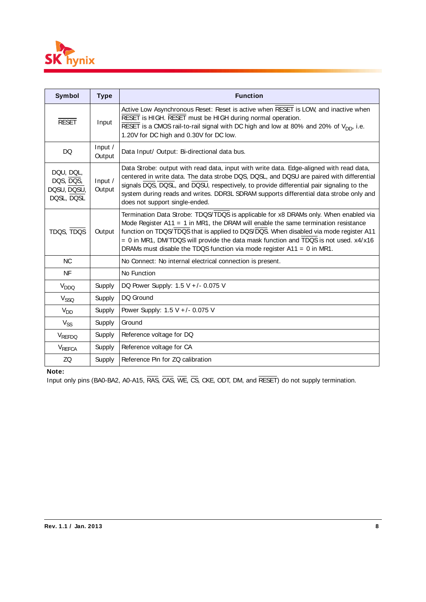

| <b>Symbol</b>                                       | <b>Type</b>       | <b>Function</b>                                                                                                                                                                                                                                                                                                                                                                                                                               |
|-----------------------------------------------------|-------------------|-----------------------------------------------------------------------------------------------------------------------------------------------------------------------------------------------------------------------------------------------------------------------------------------------------------------------------------------------------------------------------------------------------------------------------------------------|
| <b>RESET</b>                                        | Input             | Active Low Asynchronous Reset: Reset is active when RESET is LOW, and inactive when<br>RESET is HIGH. RESET must be HIGH during normal operation.<br>RESET is a CMOS rail-to-rail signal with DC high and low at 80% and 20% of V <sub>DD</sub> , i.e.<br>1.20V for DC high and 0.30V for DC low.                                                                                                                                             |
| DQ                                                  | Input /<br>Output | Data Input/ Output: Bi-directional data bus.                                                                                                                                                                                                                                                                                                                                                                                                  |
| DQU, DQL,<br>DQS, DQS,<br>DQSU, DQSU,<br>DQSL, DQSL | Input /<br>Output | Data Strobe: output with read data, input with write data. Edge-aligned with read data,<br>centered in write data. The data strobe DQS, DQSL, and DQSU are paired with differential<br>signals DQS, DQSL, and DQSU, respectively, to provide differential pair signaling to the<br>system during reads and writes. DDR3L SDRAM supports differential data strobe only and<br>does not support single-ended.                                   |
| TDQS, TDQS                                          | Output            | Termination Data Strobe: TDQS/TDQS is applicable for x8 DRAMs only. When enabled via<br>Mode Register $A11 = 1$ in MR1, the DRAM will enable the same termination resistance<br>function on TDQS/TDQS that is applied to DQS/DQS. When disabled via mode register A11<br>$= 0$ in MR1, DM/TDQS will provide the data mask function and TDQS is not used. $x4/x16$<br>DRAMs must disable the TDQS function via mode register $A11 = 0$ in MR1. |
| <b>NC</b>                                           |                   | No Connect: No internal electrical connection is present.                                                                                                                                                                                                                                                                                                                                                                                     |
| <b>NF</b>                                           |                   | No Function                                                                                                                                                                                                                                                                                                                                                                                                                                   |
| V <sub>DDQ</sub>                                    | Supply            | DQ Power Supply: $1.5 V +/- 0.075 V$                                                                                                                                                                                                                                                                                                                                                                                                          |
| V <sub>SSQ</sub>                                    | Supply            | DQ Ground                                                                                                                                                                                                                                                                                                                                                                                                                                     |
| $V_{DD}$                                            | Supply            | Power Supply: 1.5 V +/- 0.075 V                                                                                                                                                                                                                                                                                                                                                                                                               |
| $V_{SS}$                                            | Supply            | Ground                                                                                                                                                                                                                                                                                                                                                                                                                                        |
| VREFDQ                                              | Supply            | Reference voltage for DQ                                                                                                                                                                                                                                                                                                                                                                                                                      |
| VREFCA                                              | Supply            | Reference voltage for CA                                                                                                                                                                                                                                                                                                                                                                                                                      |
| ZQ                                                  | Supply            | Reference Pin for ZQ calibration                                                                                                                                                                                                                                                                                                                                                                                                              |

#### **Note:**

Input only pins (BA0-BA2, A0-A15, RAS, CAS, WE, CS, CKE, ODT, DM, and RESET) do not supply termination.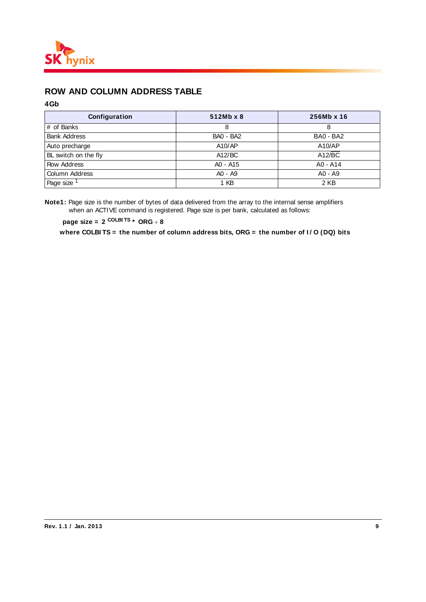

# **ROW AND COLUMN ADDRESS TABLE**

#### **4Gb**

| Configuration          | 512Mb x 8        | 256Mb x 16 |
|------------------------|------------------|------------|
| # of Banks             | 8                | 8          |
| <b>Bank Address</b>    | <b>BA0 - BA2</b> | BA0 - BA2  |
| Auto precharge         | A10/AP           | A10/AP     |
| BL switch on the fly   | A12/BC           | A12/BC     |
| Row Address            | A0 - A15         | $AO - A14$ |
| Column Address         | A0 - A9          | $AO - A9$  |
| Page size <sup>1</sup> | 1 KB             | 2 KB       |

**Note1:** Page size is the number of bytes of data delivered from the array to the internal sense amplifiers when an ACTIVE command is registered. Page size is per bank, calculated as follows:

**page size = 2 COLBI TS \* ORG 8**

where COLBITS = the number of column address bits, ORG = the number of I/O (DQ) bits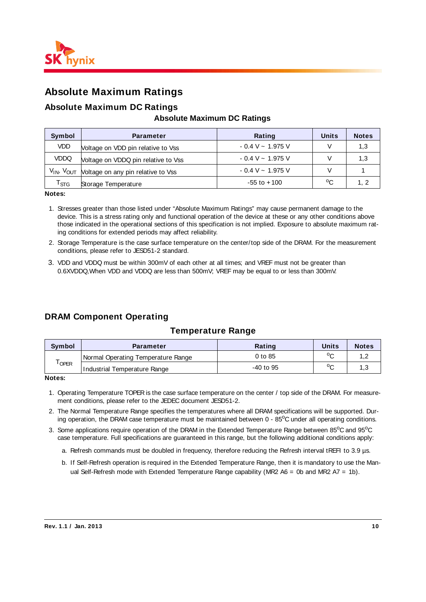

# **Absolute Maximum Ratings**

#### **Absolute Maximum DC Ratings**

#### **Absolute Maximum DC Ratings**

| Symbol                    | <b>Parameter</b>                                                      | Rating                  | Units | <b>Notes</b> |
|---------------------------|-----------------------------------------------------------------------|-------------------------|-------|--------------|
| <b>VDD</b>                | Voltage on VDD pin relative to Vss                                    | $-0.4$ V $\sim 1.975$ V |       | 1,3          |
| <b>VDDQ</b>               | Voltage on VDDQ pin relative to Vss                                   | $-0.4$ V $\sim 1.975$ V |       | 1.3          |
|                           | V <sub>IN</sub> , V <sub>OUT</sub> Voltage on any pin relative to Vss | $-0.4$ V $\sim 1.975$ V |       |              |
| $\mathsf{r}_{\text{STG}}$ | Storage Temperature                                                   | $-55$ to $+100$         | °C    | 1, 2         |

**Notes:**

- 1. Stresses greater than those listed under "Absolute Maximum Ratings" may cause permanent damage to the device. This is a stress rating only and functional operation of the device at these or any other conditions above those indicated in the operational sections of this specification is not implied. Exposure to absolute maximum rating conditions for extended periods may affect reliability.
- 2. Storage Temperature is the case surface temperature on the center/top side of the DRAM. For the measurement conditions, please refer to JESD51-2 standard.
- 3. VDD and VDDQ must be within 300mV of each other at all times; and VREF must not be greater than 0.6XVDDQ,When VDD and VDDQ are less than 500mV; VREF may be equal to or less than 300mV.

### **DRAM Component Operating**

#### **Temperature Range**

| Svmbol            | <b>Parameter</b>                   | Rating      | Units  | <b>Notes</b> |
|-------------------|------------------------------------|-------------|--------|--------------|
| <sup>I</sup> OPER | Normal Operating Temperature Range | 0 to 85     | $\sim$ | ے .          |
|                   | Industrial Temperature Range       | $-40$ to 95 | $\sim$ | ن.           |

**Notes:**

- 1. Operating Temperature TOPER is the case surface temperature on the center / top side of the DRAM. For measurement conditions, please refer to the JEDEC document JESD51-2.
- 2. The Normal Temperature Range specifies the temperatures where all DRAM specifications will be supported. During operation, the DRAM case temperature must be maintained between 0 - 85°C under all operating conditions.
- 3. Some applications require operation of the DRAM in the Extended Temperature Range between 85°C and 95°C case temperature. Full specifications are guaranteed in this range, but the following additional conditions apply:
	- a. Refresh commands must be doubled in frequency, therefore reducing the Refresh interval tREFI to 3.9 µs.
	- b. If Self-Refresh operation is required in the Extended Temperature Range, then it is mandatory to use the Manual Self-Refresh mode with Extended Temperature Range capability (MR2 A6 = 0b and MR2 A7 = 1b).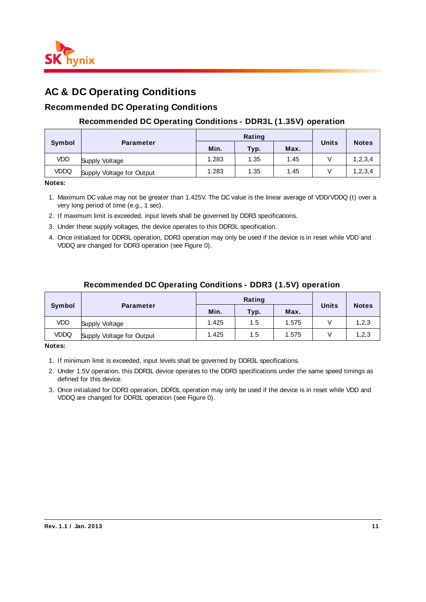

# **AC & DC Operating Conditions**

### **Recommended DC Operating Conditions**

#### **Recommended DC Operating Conditions - DDR3L (1.35V) operation**

|               |                           |       | Rating |      |              |              |  |
|---------------|---------------------------|-------|--------|------|--------------|--------------|--|
| <b>Symbol</b> | <b>Parameter</b>          | Min.  | Typ.   | Max. | <b>Units</b> | <b>Notes</b> |  |
| VDD           | Supply Voltage            | 1.283 | 1.35   | 1.45 |              | 1, 2, 3, 4   |  |
| VDDQ          | Supply Voltage for Output | 1.283 | 1.35   | 1.45 |              | 1, 2, 3, 4   |  |

**Notes:**

- 1. Maximum DC value may not be greater than 1.425V. The DC value is the linear average of VDD/VDDQ (t) over a very long period of time (e.g., 1 sec).
- 2. If maximum limit is exceeded, input levels shall be governed by DDR3 specifications.
- 3. Under these supply voltages, the device operates to this DDR3L specification.
- 4. Once initialized for DDR3L operation, DDR3 operation may only be used if the device is in reset while VDD and VDDQ are changed for DDR3 operation (see Figure 0).

#### **Recommended DC Operating Conditions - DDR3 (1.5V) operation**

|               |                           |       | Rating |       |              |              |  |
|---------------|---------------------------|-------|--------|-------|--------------|--------------|--|
| <b>Symbol</b> | <b>Parameter</b>          | Min.  | Typ.   | Max.  | <b>Units</b> | <b>Notes</b> |  |
| VDD           | Supply Voltage            | 1.425 | 1.5    | 1.575 |              | 1,2,3        |  |
| VDDQ          | Supply Voltage for Output | 1.425 | 1.5    | 1.575 |              | 1,2,3        |  |

**Notes:**

- 1. If minimum limit is exceeded, input levels shall be governed by DDR3L specifications.
- 2. Under 1.5V operation, this DDR3L device operates to the DDR3 specifications under the same speed timings as defined for this device.
- 3. Once initialized for DDR3 operation, DDR3L operation may only be used if the device is in reset while VDD and VDDQ are changed for DDR3L operation (see Figure 0).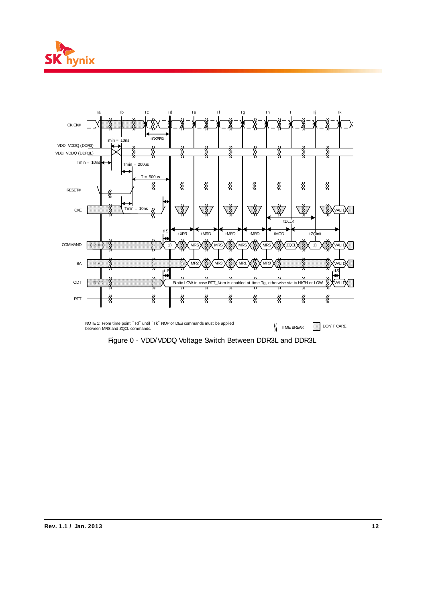



Figure 0 - VDD/VDDQ Voltage Switch Between DDR3L and DDR3L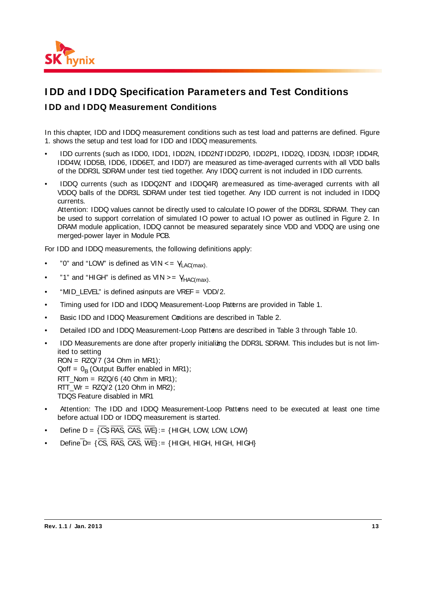

# **I DD and I DDQ Specification Parameters and Test Conditions**

### **I DD and I DDQ Measurement Conditions**

In this chapter, IDD and IDDQ measurement conditions such as test load and patterns are defined. Figure 1. shows the setup and test load for IDD and IDDQ measurements.

- IDD currents (such as IDD0, IDD1, IDD2N, IDD2NT, IDD2P0, IDD2P1, IDD2Q, IDD3N, IDD3P, IDD4R, IDD4W, IDD5B, IDD6, IDD6ET, and IDD7) are measured as time-averaged currents with all VDD balls of the DDR3L SDRAM under test tied together. Any IDDQ current is not included in IDD currents.
- IDDQ currents (such as IDDQ2NT and IDDQ4R) are measured as time-averaged currents with all VDDQ balls of the DDR3L SDRAM under test tied together. Any IDD current is not included in IDDQ currents.

Attention: IDDQ values cannot be directly used to calculate IO power of the DDR3L SDRAM. They can be used to support correlation of simulated IO power to actual IO power as outlined in Figure 2. In DRAM module application, IDDQ cannot be measured separately since VDD and VDDQ are using one merged-power layer in Module PCB.

For IDD and IDDQ measurements, the following definitions apply:

- "0" and "LOW" is defined as  $VIN \leq V_{\text{LAC(max)}}$ .
- "1" and "HIGH" is defined as  $VIN > = V_{HAC(max)}$ .
- "MID LEVEL" is defined as inputs are VREF = VDD/2.
- Timing used for IDD and IDDQ Measurement-Loop Patterns are provided in Table 1.
- Basic IDD and IDDQ Measurement Conditions are described in Table 2.
- Detailed IDD and IDDQ Measurement-Loop Patterns are described in Table 3 through Table 10.
- IDD Measurements are done after properly initializing the DDR3L SDRAM. This includes but is not limited to setting  $RON = RZQ/7$  (34 Ohm in MR1);
	- $Qoff = 0<sub>B</sub>$  (Output Buffer enabled in MR1);
	- $RTT_N$ Nom = RZQ/6 (40 Ohm in MR1);
	- RTT Wr =  $RZQ/2$  (120 Ohm in MR2);
	- TDQS Feature disabled in MR1
- Attention: The IDD and IDDQ Measurement-Loop Patterns need to be executed at least one time before actual IDD or IDDQ measurement is started.
- Define  $D = \{CS, RAS, CAS, WE\} := \{ H \cup H, LOW, LOW, LOW\}$
- Define  $\overline{D}$  = { $\overline{CS}$ ,  $\overline{RAS}$ ,  $\overline{CAS}$ ,  $\overline{WE}$ } : = {HIGH, HIGH, HIGH, HIGH}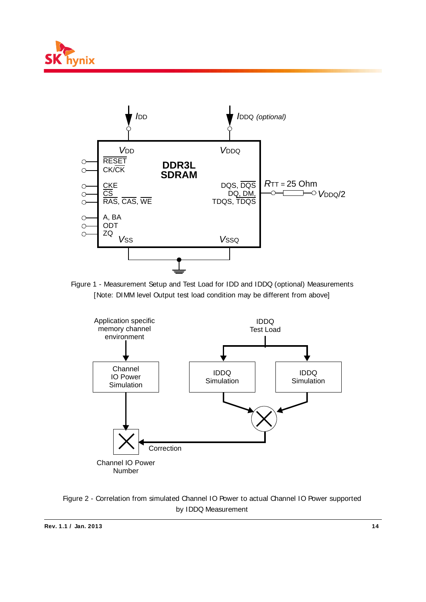



Figure 1 - Measurement Setup and Test Load for IDD and IDDQ (optional) Measurements [Note: DIMM level Output test load condition may be different from above]



Figure 2 - Correlation from simulated Channel IO Power to actual Channel IO Power supported by IDDQ Measurement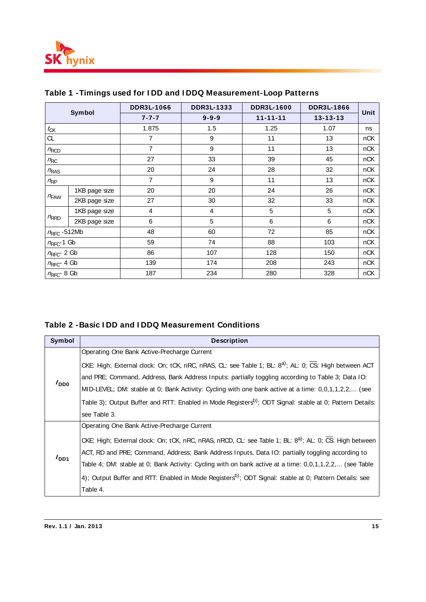

| Symbol                  |               | <b>DDR3L-1066</b> | DDR3L-1333  | <b>DDR3L-1600</b> | <b>DDR3L-1866</b> | Unit |
|-------------------------|---------------|-------------------|-------------|-------------------|-------------------|------|
|                         |               | $7 - 7 - 7$       | $9 - 9 - 9$ | $11 - 11 - 11$    | $13 - 13 - 13$    |      |
| $t_{CK}$                |               | 1.875             | 1.5         | 1.25              | 1.07              | ns   |
| CL.                     |               | $\overline{7}$    | 9           | 11                | 13                | nCK  |
| $n_{\rm RCD}$           |               | $\overline{7}$    | 9           | 11                | 13                | nCK  |
| $n_{\rm RC}$            |               | 27                | 33          | 39                | 45                | nCK  |
| $n_{RAS}$               |               | 20                | 24          | 28                | 32                | nCK  |
| $n_{\rm RP}$            |               | $\overline{7}$    | 9           | 11                | 13                | nCK  |
|                         | 1KB page size | 20                | 20          | 24                | 26                | nCK  |
| $n_{FAW}$               | 2KB page size | 27                | 30          | 32                | 33                | nCK  |
|                         | 1KB page size | 4                 | 4           | 5                 | 5                 | nCK  |
| $n_{RRD}$               | 2KB page size | 6                 | 5           | 6                 | 6                 | nCK  |
| $n_{\text{RFC}}$ -512Mb |               | 48                | 60          | 72                | 85                | nCK  |
| $n_{\text{RFC}}$ -1 Gb  |               | 59                | 74          | 88                | 103               | nCK  |
| $n_\mathrm{RFC}$ 2 Gb   |               | 86                | 107         | 128               | 150               | nCK  |
| $n_{\text{RFC}}$ 4 Gb   |               | 139               | 174         | 208               | 243               | nCK  |
| $n_{\text{RFC}}$ 8 Gb   |               | 187               | 234         | 280               | 328               | nCK  |

# **Table 1 -Timings used for I DD and I DDQ Measurement-Loop Patterns**

### **Table 2 -Basic I DD and I DDQ Measurement Conditions**

| <b>Symbol</b>    | <b>Description</b>                                                                                                   |
|------------------|----------------------------------------------------------------------------------------------------------------------|
|                  | Operating One Bank Active-Precharge Current                                                                          |
|                  | CKE: High; External clock: On; tCK, nRC, nRAS, CL: see Table 1; BL: 8 <sup>a)</sup> ; AL: 0; CS: High between ACT    |
|                  | and PRE; Command, Address, Bank Address Inputs: partially toggling according to Table 3; Data IO:                    |
| $I_{DD0}$        | MID-LEVEL; DM: stable at 0; Bank Activity: Cycling with one bank active at a time: 0,0,1,1,2,2, (see                 |
|                  | Table 3); Output Buffer and RTT: Enabled in Mode Registers <sup>b)</sup> ; ODT Signal: stable at 0; Pattern Details: |
|                  | see Table 3.                                                                                                         |
|                  | Operating One Bank Active-Precharge Current                                                                          |
|                  | CKE: High; External clock: On; tCK, nRC, nRAS, nRCD, CL: see Table 1; BL: 8 <sup>a)</sup> ; AL: 0; CS: High between  |
|                  | ACT, RD and PRE; Command, Address; Bank Address Inputs, Data IO: partially toggling according to                     |
| I <sub>DD1</sub> | Table 4; DM: stable at 0; Bank Activity: Cycling with on bank active at a time: 0,0,1,1,2,2, (see Table              |
|                  | 4); Output Buffer and RTT: Enabled in Mode Registers <sup>b)</sup> ; ODT Signal: stable at 0; Pattern Details: see   |
|                  | Table 4.                                                                                                             |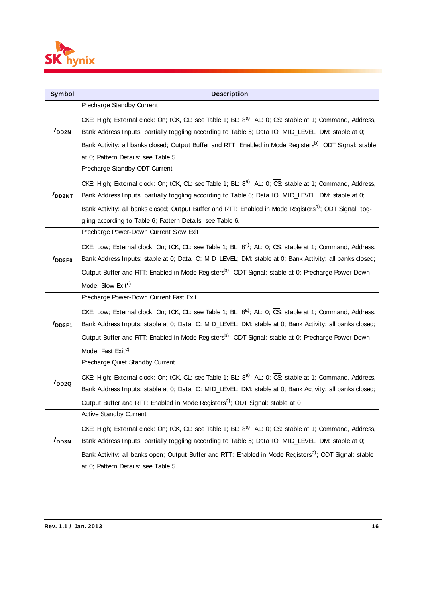

| Symbol             | <b>Description</b>                                                                                                   |
|--------------------|----------------------------------------------------------------------------------------------------------------------|
|                    | Precharge Standby Current                                                                                            |
|                    | CKE: High; External clock: On; tCK, CL: see Table 1; BL: $8^a$ ; AL: 0; CS: stable at 1; Command, Address,           |
| I <sub>DD2N</sub>  | Bank Address Inputs: partially toggling according to Table 5; Data IO: MID_LEVEL; DM: stable at 0;                   |
|                    | Bank Activity: all banks closed; Output Buffer and RTT: Enabled in Mode Registers <sup>b)</sup> ; ODT Signal: stable |
|                    | at 0; Pattern Details: see Table 5.                                                                                  |
|                    | Precharge Standby ODT Current                                                                                        |
|                    | CKE: High; External clock: On; tCK, CL: see Table 1; BL: $8^a$ ; AL: 0; CS: stable at 1; Command, Address,           |
| I <sub>DD2NT</sub> | Bank Address Inputs: partially toggling according to Table 6; Data IO: MID_LEVEL; DM: stable at 0;                   |
|                    | Bank Activity: all banks closed; Output Buffer and RTT: Enabled in Mode Registers <sup>b)</sup> ; ODT Signal: tog-   |
|                    | gling according to Table 6; Pattern Details: see Table 6.                                                            |
|                    | Precharge Power-Down Current Slow Exit                                                                               |
|                    | CKE: Low; External clock: On; tCK, CL: see Table 1; BL: $8^a$ ; AL: 0; CS: stable at 1; Command, Address,            |
| $I_{DD2P0}$        | Bank Address Inputs: stable at 0; Data IO: MID_LEVEL; DM: stable at 0; Bank Activity: all banks closed;              |
|                    | Output Buffer and RTT: Enabled in Mode Registers <sup>b)</sup> ; ODT Signal: stable at 0; Precharge Power Down       |
|                    | Mode: Slow Exit <sup>c)</sup>                                                                                        |
|                    | Precharge Power-Down Current Fast Exit                                                                               |
|                    | CKE: Low; External clock: On; tCK, CL: see Table 1; BL: $8^a$ ; AL: 0; CS: stable at 1; Command, Address,            |
| I <sub>DD2P1</sub> | Bank Address Inputs: stable at 0; Data IO: MID_LEVEL; DM: stable at 0; Bank Activity: all banks closed;              |
|                    | Output Buffer and RTT: Enabled in Mode Registers <sup>b)</sup> ; ODT Signal: stable at 0; Precharge Power Down       |
|                    | Mode: Fast Exit <sup>c)</sup>                                                                                        |
|                    | Precharge Quiet Standby Current                                                                                      |
| $I_{DD2Q}$         | CKE: High; External clock: On; tCK, CL: see Table 1; BL: $8^a$ ; AL: 0; CS: stable at 1; Command, Address,           |
|                    | Bank Address Inputs: stable at 0; Data IO: MID_LEVEL; DM: stable at 0; Bank Activity: all banks closed;              |
|                    | Output Buffer and RTT: Enabled in Mode Registers <sup>b)</sup> ; ODT Signal: stable at 0                             |
|                    | Active Standby Current                                                                                               |
|                    | CKE: High; External clock: On; tCK, CL: see Table 1; BL: 8 <sup>a)</sup> ; AL: 0; CS: stable at 1; Command, Address, |
| I <sub>DD3N</sub>  | Bank Address Inputs: partially toggling according to Table 5; Data IO: MID_LEVEL; DM: stable at 0;                   |
|                    | Bank Activity: all banks open; Output Buffer and RTT: Enabled in Mode Registers <sup>b)</sup> ; ODT Signal: stable   |
|                    | at 0; Pattern Details: see Table 5.                                                                                  |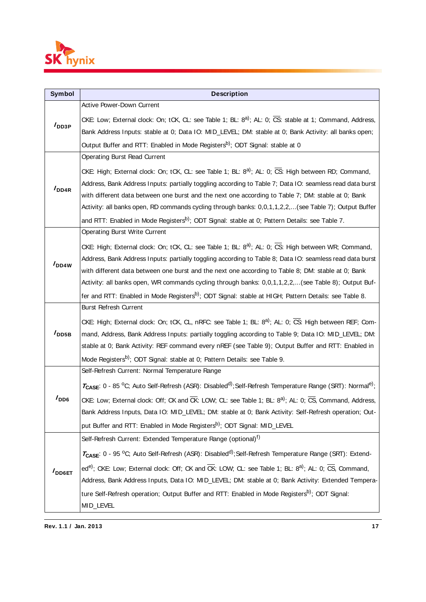

| Symbol             | <b>Description</b>                                                                                                                                                                                          |
|--------------------|-------------------------------------------------------------------------------------------------------------------------------------------------------------------------------------------------------------|
|                    | Active Power-Down Current                                                                                                                                                                                   |
| $I_{\text{DD3P}}$  | CKE: Low; External clock: On; tCK, CL: see Table 1; BL: $8^{a}$ ; AL: 0; CS: stable at 1; Command, Address,                                                                                                 |
|                    | Bank Address Inputs: stable at 0; Data IO: MID_LEVEL; DM: stable at 0; Bank Activity: all banks open;                                                                                                       |
|                    | Output Buffer and RTT: Enabled in Mode Registers <sup>b)</sup> ; ODT Signal: stable at 0                                                                                                                    |
|                    | Operating Burst Read Current                                                                                                                                                                                |
|                    | CKE: High; External clock: On; tCK, CL: see Table 1; BL: 8 <sup>a)</sup> ; AL: 0; CS: High between RD; Command,                                                                                             |
| I <sub>DD4R</sub>  | Address, Bank Address Inputs: partially toggling according to Table 7; Data IO: seamless read data burst                                                                                                    |
|                    | with different data between one burst and the next one according to Table 7; DM: stable at 0; Bank                                                                                                          |
|                    | Activity: all banks open, RD commands cycling through banks: 0,0,1,1,2,2,(see Table 7); Output Buffer                                                                                                       |
|                    | and RTT: Enabled in Mode Registers <sup>b)</sup> ; ODT Signal: stable at 0; Pattern Details: see Table 7.                                                                                                   |
|                    | <b>Operating Burst Write Current</b>                                                                                                                                                                        |
|                    | CKE: High; External clock: On; tCK, CL: see Table 1; BL: 8 <sup>a)</sup> ; AL: 0; CS: High between WR; Command,                                                                                             |
| $I_{DD4W}$         | Address, Bank Address Inputs: partially toggling according to Table 8; Data IO: seamless read data burst                                                                                                    |
|                    | with different data between one burst and the next one according to Table 8; DM: stable at 0; Bank                                                                                                          |
|                    | Activity: all banks open, WR commands cycling through banks: 0,0,1,1,2,2,(see Table 8); Output Buf-                                                                                                         |
|                    | fer and RTT: Enabled in Mode Registers <sup>b)</sup> ; ODT Signal: stable at HIGH; Pattern Details: see Table 8.<br>Burst Refresh Current                                                                   |
|                    |                                                                                                                                                                                                             |
| $I_{\text{DDB}}$   | CKE: High; External clock: On; tCK, CL, nRFC: see Table 1; BL: $8^{a}$ ); AL: 0; $\overline{CS}$ : High between REF; Com-                                                                                   |
|                    | mand, Address, Bank Address Inputs: partially toggling according to Table 9; Data IO: MID_LEVEL; DM:<br>stable at 0; Bank Activity: REF command every nREF (see Table 9); Output Buffer and RTT: Enabled in |
|                    | Mode Registers <sup>b)</sup> ; ODT Signal: stable at 0; Pattern Details: see Table 9.                                                                                                                       |
|                    | Self-Refresh Current: Normal Temperature Range                                                                                                                                                              |
|                    | $T_{\text{CASE}}$ : 0 - 85 °C; Auto Self-Refresh (ASR): Disabled <sup>d)</sup> ; Self-Refresh Temperature Range (SRT): Normal <sup>e)</sup> ;                                                               |
| $I_{DD6}$          | CKE: Low; External clock: Off; CK and CK: LOW; CL: see Table 1; BL: 8 <sup>a)</sup> ; AL: 0; CS, Command, Address,                                                                                          |
|                    | Bank Address Inputs, Data IO: MID_LEVEL; DM: stable at 0; Bank Activity: Self-Refresh operation; Out-                                                                                                       |
|                    | put Buffer and RTT: Enabled in Mode Registers <sup>b)</sup> ; ODT Signal: MID_LEVEL                                                                                                                         |
|                    | Self-Refresh Current: Extended Temperature Range (optional) <sup>f)</sup>                                                                                                                                   |
|                    |                                                                                                                                                                                                             |
|                    | $T_{\text{CASE}}$ : 0 - 95 °C; Auto Self-Refresh (ASR): Disabled <sup>d)</sup> ; Self-Refresh Temperature Range (SRT): Extend-                                                                              |
| $I_{\text{DD6ET}}$ | ed <sup>e)</sup> ; CKE: Low; External clock: Off; CK and CK: LOW; CL: see Table 1; BL: 8 <sup>a)</sup> ; AL: 0; CS, Command,                                                                                |
|                    | Address, Bank Address Inputs, Data IO: MID_LEVEL; DM: stable at 0; Bank Activity: Extended Tempera-                                                                                                         |
|                    | ture Self-Refresh operation; Output Buffer and RTT: Enabled in Mode Registers <sup>b)</sup> ; ODT Signal:                                                                                                   |
|                    | MID_LEVEL                                                                                                                                                                                                   |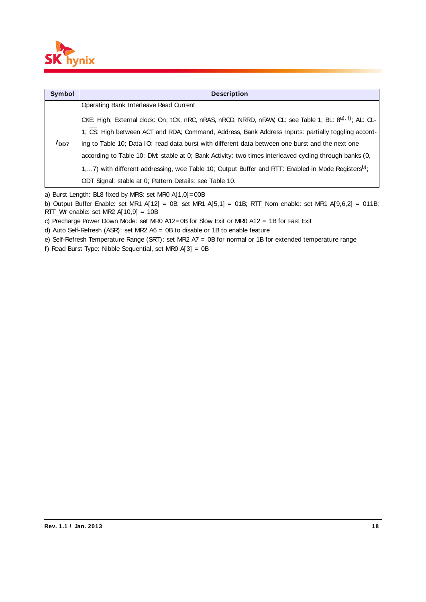

| <b>Symbol</b>    | <b>Description</b>                                                                                                  |
|------------------|---------------------------------------------------------------------------------------------------------------------|
|                  | Operating Bank Interleave Read Current                                                                              |
|                  | CKE: High; External clock: On; tCK, nRC, nRAS, nRCD, NRRD, nFAW, CL: see Table 1; BL: 8 <sup>a), f)</sup> ; AL: CL- |
|                  | 1; CS: High between ACT and RDA; Command, Address, Bank Address Inputs: partially toggling accord-                  |
| I <sub>DD7</sub> | ing to Table 10; Data IO: read data burst with different data between one burst and the next one                    |
|                  | according to Table 10; DM: stable at 0; Bank Activity: two times interleaved cycling through banks (0,              |
|                  | 1,7) with different addressing, wee Table 10; Output Buffer and RTT: Enabled in Mode Registers <sup>b)</sup> ;      |
|                  | ODT Signal: stable at 0; Pattern Details: see Table 10.                                                             |

a) Burst Length: BL8 fixed by MRS: set MR0 A[1,0]= 00B

b) Output Buffer Enable: set MR1 A[12] = 0B; set MR1 A[5,1] = 01B; RTT\_Nom enable: set MR1 A[9,6,2] = 011B; RTT\_Wr enable: set MR2 A[10,9] = 10B

c) Precharge Power Down Mode: set MR0 A12= 0B for Slow Exit or MR0 A12 = 1B for Fast Exit

d) Auto Self-Refresh (ASR): set MR2 A6 = 0B to disable or 1B to enable feature

e) Self-Refresh Temperature Range (SRT): set MR2 A7 = 0B for normal or 1B for extended temperature range

f) Read Burst Type: Nibble Sequential, set MR0 A[3] = 0B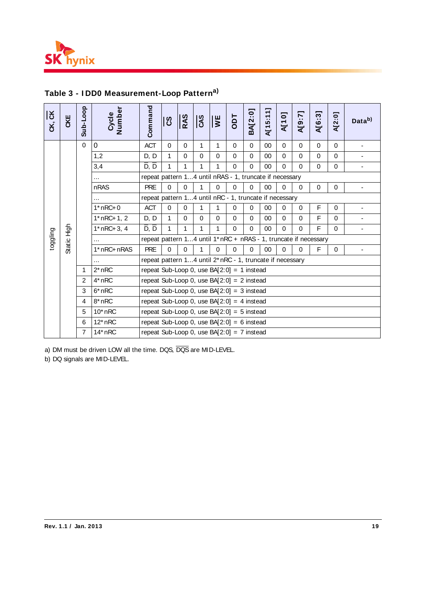

# **Table 3 - I DD0 Measurement-Loop Patterna)**

| CK, CK   | CKE                                                                                            | Sub-Loop       | Number<br>Cycle | Command                                                 | ပြီ                                                              | RAS         | <b>CAS</b>   | $\overline{W}$ | Tao         | BA[2:0]     | A[15:11] | <b>N[10]</b> | A[9:7]      | A[6:3]   | A[2:0]      | Data <sup>b)</sup> |
|----------|------------------------------------------------------------------------------------------------|----------------|-----------------|---------------------------------------------------------|------------------------------------------------------------------|-------------|--------------|----------------|-------------|-------------|----------|--------------|-------------|----------|-------------|--------------------|
|          |                                                                                                | $\Omega$       | $\mathbf 0$     | <b>ACT</b>                                              | $\Omega$                                                         | $\Omega$    | 1            | 1              | $\Omega$    | $\mathbf 0$ | 00       | $\Omega$     | $\Omega$    | $\Omega$ | $\Omega$    |                    |
|          |                                                                                                |                | 1,2             | D, D                                                    | 1                                                                | $\Omega$    | $\Omega$     | $\Omega$       | $\Omega$    | $\mathbf 0$ | 00       | $\Omega$     | $\Omega$    | $\Omega$ | $\Omega$    |                    |
|          |                                                                                                |                | 3,4             | D, D                                                    | $\mathbf{1}$                                                     | 1           | 1            | 1              | $\mathbf 0$ | $\mathbf 0$ | 00       | $\Omega$     | $\Omega$    | $\Omega$ | 0           |                    |
|          |                                                                                                |                | $\cdots$        | repeat pattern 14 until nRAS - 1, truncate if necessary |                                                                  |             |              |                |             |             |          |              |             |          |             |                    |
|          |                                                                                                |                | nRAS            | <b>PRE</b>                                              | $\mathbf 0$                                                      | $\Omega$    | 1            | $\Omega$       | 0           | $\mathbf 0$ | 00       | $\mathbf 0$  | $\Omega$    | $\Omega$ | 0           |                    |
|          |                                                                                                |                | $\cdots$        | repeat pattern 14 until nRC - 1, truncate if necessary  |                                                                  |             |              |                |             |             |          |              |             |          |             |                    |
|          |                                                                                                |                | $1*$ nRC+0      | <b>ACT</b>                                              | $\mathbf 0$                                                      | $\mathbf 0$ | $\mathbf{1}$ | 1              | $\mathbf 0$ | 0           | 00       | $\mathbf 0$  | $\mathbf 0$ | F        | $\mathbf 0$ |                    |
|          | Static High                                                                                    |                | $1*$ nRC+ 1, 2  | D, D                                                    | 1                                                                | $\Omega$    | $\mathbf 0$  | $\Omega$       | $\Omega$    | $\mathbf 0$ | 00       | $\Omega$     | $\Omega$    | F        | $\Omega$    |                    |
|          |                                                                                                |                | $1*$ nRC+ 3, 4  | D, D                                                    | $\mathbf{1}$                                                     | 1           | $\mathbf{1}$ | $\mathbf{1}$   | $\Omega$    | $\mathbf 0$ | 00       | $\Omega$     | $\Omega$    | F        | $\Omega$    |                    |
| toggling |                                                                                                |                | $\cdots$        |                                                         | repeat pattern 14 until 1* nRC + nRAS - 1, truncate if necessary |             |              |                |             |             |          |              |             |          |             |                    |
|          |                                                                                                |                | 1* nRC+ nRAS    | <b>PRE</b>                                              | $\Omega$                                                         | $\Omega$    | $\mathbf{1}$ | $\mathbf 0$    | $\Omega$    | $\mathbf 0$ | 00       | $\mathbf 0$  | $\Omega$    | F        | 0           |                    |
|          |                                                                                                |                | $\cdots$        |                                                         | repeat pattern 14 until 2* nRC - 1, truncate if necessary        |             |              |                |             |             |          |              |             |          |             |                    |
|          |                                                                                                | 1              | $2*$ nRC        | repeat Sub-Loop 0, use BA $[2:0] = 1$ instead           |                                                                  |             |              |                |             |             |          |              |             |          |             |                    |
|          |                                                                                                | $\overline{2}$ | $4*$ nRC        | repeat Sub-Loop 0, use $BA[2:0] = 2$ instead            |                                                                  |             |              |                |             |             |          |              |             |          |             |                    |
|          |                                                                                                | 3              | $6*$ nRC        | repeat Sub-Loop 0, use $BA[2:0] = 3$ instead            |                                                                  |             |              |                |             |             |          |              |             |          |             |                    |
|          |                                                                                                | 4              | $8*$ nRC        | repeat Sub-Loop 0, use BA $[2:0] = 4$ instead           |                                                                  |             |              |                |             |             |          |              |             |          |             |                    |
|          |                                                                                                | 5              | $10*$ nRC       | repeat Sub-Loop 0, use $BA[2:0] = 5$ instead            |                                                                  |             |              |                |             |             |          |              |             |          |             |                    |
|          |                                                                                                | 6              | $12^*$ nRC      | repeat Sub-Loop 0, use BA $[2:0] = 6$ instead           |                                                                  |             |              |                |             |             |          |              |             |          |             |                    |
|          |                                                                                                | 7              | $14*$ nRC       | repeat Sub-Loop 0, use $BA[2:0] = 7$ instead            |                                                                  |             |              |                |             |             |          |              |             |          |             |                    |
|          | a) DM must be driven LOW all the time. DQS, DQS are MID-LEVEL.<br>b) DQ signals are MID-LEVEL. |                |                 |                                                         |                                                                  |             |              |                |             |             |          |              |             |          |             |                    |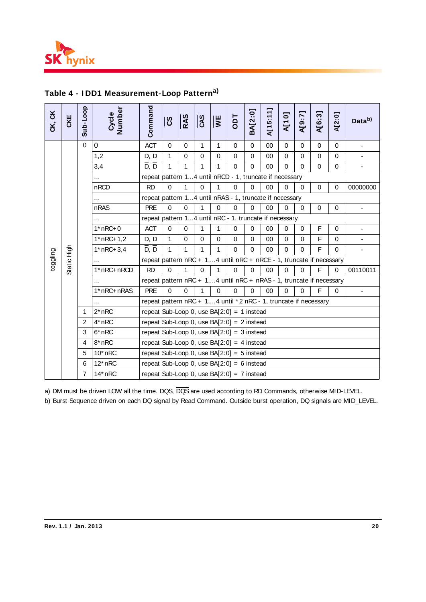

| CK, CK   | CKE         | Sub-Loop       | Cycle<br>Number                                                                                                                                                                                                           | Command                                                              | ၓ        | RAS         | CAS         | $\overline{\mathbf{s}}$ | Tao         | BA[2:0]     | A[15:11] | <b>N101</b> | [2:6]W      | A[6:3]      | A[2:0]      | Data <sup>b)</sup>       |
|----------|-------------|----------------|---------------------------------------------------------------------------------------------------------------------------------------------------------------------------------------------------------------------------|----------------------------------------------------------------------|----------|-------------|-------------|-------------------------|-------------|-------------|----------|-------------|-------------|-------------|-------------|--------------------------|
|          |             | $\Omega$       | 0                                                                                                                                                                                                                         | <b>ACT</b>                                                           | $\Omega$ | $\mathbf 0$ | 1           | 1                       | $\mathbf 0$ | $\pmb{0}$   | 00       | $\mathbf 0$ | $\mathbf 0$ | $\mathbf 0$ | $\mathbf 0$ | $\overline{\phantom{a}}$ |
|          |             |                | 1,2                                                                                                                                                                                                                       | D, D                                                                 | 1        | $\Omega$    | $\Omega$    | $\Omega$                | $\Omega$    | $\mathbf 0$ | 00       | $\mathbf 0$ | $\Omega$    | $\Omega$    | $\Omega$    |                          |
|          |             |                | 3,4                                                                                                                                                                                                                       | $\overline{D}, \overline{D}$                                         | 1        | 1           | 1           | 1                       | $\Omega$    | $\mathbf 0$ | 00       | $\mathbf 0$ | $\Omega$    | $\Omega$    | $\mathbf 0$ |                          |
|          |             |                |                                                                                                                                                                                                                           | repeat pattern 14 until nRCD - 1, truncate if necessary              |          |             |             |                         |             |             |          |             |             |             |             |                          |
|          |             |                | nRCD                                                                                                                                                                                                                      | <b>RD</b>                                                            | $\Omega$ | $\mathbf 1$ | $\mathbf 0$ | 1                       | $\Omega$    | $\Omega$    | 00       | $\Omega$    | $\Omega$    | $\Omega$    | $\mathbf 0$ | 00000000                 |
|          |             |                |                                                                                                                                                                                                                           | repeat pattern 14 until nRAS - 1, truncate if necessary              |          |             |             |                         |             |             |          |             |             |             |             |                          |
|          |             |                | nRAS                                                                                                                                                                                                                      | <b>PRE</b>                                                           | 0        | $\Omega$    | 1           | $\mathbf 0$             | $\Omega$    | $\mathbf 0$ | 00       | $\mathbf 0$ | $\mathbf 0$ | $\mathbf 0$ | 0           |                          |
|          |             |                |                                                                                                                                                                                                                           | repeat pattern 14 until nRC - 1, truncate if necessary               |          |             |             |                         |             |             |          |             |             |             |             |                          |
|          |             |                | $1*$ nRC+ 0                                                                                                                                                                                                               | <b>ACT</b>                                                           | 0        | 0           | 1           | 1                       | 0           | $\Omega$    | 00       | 0           | 0           | F           | $\Omega$    |                          |
| toggling | Static High |                | $1*$ nRC+ 1,2                                                                                                                                                                                                             | D, D                                                                 | 1        | $\mathbf 0$ | $\mathbf 0$ | $\mathbf 0$             | $\Omega$    | $\mathbf 0$ | 00       | $\Omega$    | $\Omega$    | F           | $\Omega$    |                          |
|          |             |                | $1*$ nRC+ 3,4                                                                                                                                                                                                             | $\overline{D}, \overline{D}$                                         | 1        | 1           | 1           | 1                       | $\Omega$    | $\mathbf 0$ | 00       | $\Omega$    | $\Omega$    | F           | $\Omega$    | $\blacksquare$           |
|          |             |                |                                                                                                                                                                                                                           | repeat pattern nRC + 1,4 until nRC + nRCE - 1, truncate if necessary |          |             |             |                         |             |             |          |             |             |             |             |                          |
|          |             |                | 1* nRC+ nRCD                                                                                                                                                                                                              | <b>RD</b>                                                            | $\Omega$ | 1           | $\mathbf 0$ | 1                       | $\Omega$    | $\mathbf 0$ | 00       | $\Omega$    | $\Omega$    | F           | $\mathbf 0$ | 00110011                 |
|          |             |                |                                                                                                                                                                                                                           | repeat pattern nRC + 1,4 until nRC + nRAS - 1, truncate if necessary |          |             |             |                         |             |             |          |             |             |             |             |                          |
|          |             |                | 1* nRC+ nRAS                                                                                                                                                                                                              | <b>PRE</b>                                                           | $\Omega$ | $\Omega$    | 1           | $\Omega$                | $\Omega$    | $\Omega$    | 00       | $\Omega$    | $\Omega$    | F           | $\Omega$    | $\frac{1}{2}$            |
|          |             |                |                                                                                                                                                                                                                           | repeat pattern nRC + 1,4 until *2 nRC - 1, truncate if necessary     |          |             |             |                         |             |             |          |             |             |             |             |                          |
|          |             | 1              | $2*nRC$                                                                                                                                                                                                                   | repeat Sub-Loop 0, use $BA[2:0] = 1$ instead                         |          |             |             |                         |             |             |          |             |             |             |             |                          |
|          |             | $\overline{2}$ | 4* nRC                                                                                                                                                                                                                    | repeat Sub-Loop 0, use $BA[2:0] = 2$ instead                         |          |             |             |                         |             |             |          |             |             |             |             |                          |
|          |             | 3              | $6*$ nRC                                                                                                                                                                                                                  | repeat Sub-Loop 0, use $BA[2:0] = 3$ instead                         |          |             |             |                         |             |             |          |             |             |             |             |                          |
|          |             | 4              | $8*$ nRC                                                                                                                                                                                                                  | repeat Sub-Loop 0, use $BA[2:0] = 4$ instead                         |          |             |             |                         |             |             |          |             |             |             |             |                          |
|          |             | 5              | $10*$ nRC                                                                                                                                                                                                                 | repeat Sub-Loop 0, use BA $[2:0] = 5$ instead                        |          |             |             |                         |             |             |          |             |             |             |             |                          |
|          |             | 6              | $12^*$ nRC                                                                                                                                                                                                                | repeat Sub-Loop 0, use BA $[2:0] = 6$ instead                        |          |             |             |                         |             |             |          |             |             |             |             |                          |
|          |             | $\overline{7}$ | $14*nRC$                                                                                                                                                                                                                  | repeat Sub-Loop 0, use BA $[2:0] = 7$ instead                        |          |             |             |                         |             |             |          |             |             |             |             |                          |
|          |             |                | a) DM must be driven LOW all the time. DQS, DQS are used according to RD Commands, otherwise MID-LEVEL.<br>b) Burst Sequence driven on each DQ signal by Read Command. Outside burst operation, DQ signals are MID_LEVEL. |                                                                      |          |             |             |                         |             |             |          |             |             |             |             |                          |

# **Table 4 - I DD1 Measurement-Loop Patterna)**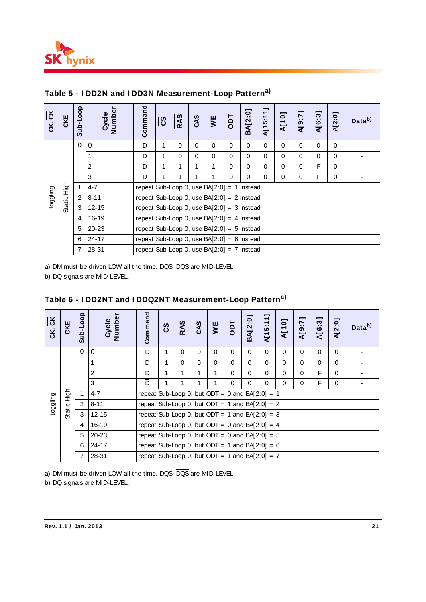

| $\overline{5}$<br>ČK, | CKE    | Sub-Loop       | Number<br>Cycle | Command                                       | ပြီ                                          | <b>RAS</b> | CAS      | $\overline{W}$ E | Tao      | BA[2:0]  | $\overline{\phantom{0}}$<br>$\overline{ }$<br>A[15:1 | $\overline{\bullet}$<br>A[1 | Ņ<br>A[9 | $\overline{3}$<br>A[6 | ៊ូ<br>A[2] | Data <sup>b)</sup> |  |
|-----------------------|--------|----------------|-----------------|-----------------------------------------------|----------------------------------------------|------------|----------|------------------|----------|----------|------------------------------------------------------|-----------------------------|----------|-----------------------|------------|--------------------|--|
|                       |        | $\Omega$       | $\overline{0}$  | D                                             | 1                                            | $\Omega$   | $\Omega$ | $\Omega$         | $\Omega$ | $\Omega$ | $\Omega$                                             | $\Omega$                    | $\Omega$ | $\Omega$              | $\Omega$   |                    |  |
|                       |        |                | 1               | D                                             | 1                                            | $\Omega$   | 0        | $\Omega$         | $\Omega$ | $\Omega$ | $\Omega$                                             | $\Omega$                    | $\Omega$ | $\Omega$              | $\Omega$   |                    |  |
|                       |        |                | $\overline{c}$  | $\overline{\mathsf{D}}$                       | 1                                            | 1          | 1        | 1                | $\Omega$ | $\Omega$ | $\Omega$                                             | $\Omega$                    | $\Omega$ | F                     | $\Omega$   |                    |  |
|                       |        |                | 3               | $\overline{\mathsf{D}}$                       | 1                                            | 1          | 1        | 1                | $\Omega$ | $\Omega$ | $\Omega$                                             | $\Omega$                    | $\Omega$ | F                     | $\Omega$   |                    |  |
|                       | 동<br>도 |                | $4 - 7$         |                                               | repeat Sub-Loop 0, use $BA[2:0] = 1$ instead |            |          |                  |          |          |                                                      |                             |          |                       |            |                    |  |
| toggling              |        | $\overline{2}$ | $8 - 11$        | repeat Sub-Loop 0, use $BA[2:0] = 2$ instead  |                                              |            |          |                  |          |          |                                                      |                             |          |                       |            |                    |  |
|                       | Static | $\mathbf{3}$   | $12 - 15$       | repeat Sub-Loop 0, use $BA[2:0] = 3$ instead  |                                              |            |          |                  |          |          |                                                      |                             |          |                       |            |                    |  |
|                       |        | $\overline{4}$ | 16-19           | repeat Sub-Loop 0, use BA $[2:0] = 4$ instead |                                              |            |          |                  |          |          |                                                      |                             |          |                       |            |                    |  |
|                       |        | 5              | $20 - 23$       | repeat Sub-Loop 0, use $BA[2:0] = 5$ instead  |                                              |            |          |                  |          |          |                                                      |                             |          |                       |            |                    |  |
|                       |        | 6              | $24 - 17$       | repeat Sub-Loop 0, use $BA[2:0] = 6$ instead  |                                              |            |          |                  |          |          |                                                      |                             |          |                       |            |                    |  |
|                       |        | $\overline{7}$ | 28-31           | repeat Sub-Loop 0, use $BA[2:0] = 7$ instead  |                                              |            |          |                  |          |          |                                                      |                             |          |                       |            |                    |  |

# **Table 5 - I DD2N and I DD3N Measurement-Loop Patterna)**

| CK, CK                                                                                                   | CKE         | Sub-Loop                  | Cycle<br>Number                                                     | Command                                                                                                | ပြီ                                                                                          | <b>RAS</b>                   | CAS              | $\overline{\mathbf{v}}$ | Tao         | BA[2:0]     | A[15:11]    | <b>N101</b>  | A[9:7]      | A[6:3]      | A[2:0]      | Data <sup>b)</sup>       |
|----------------------------------------------------------------------------------------------------------|-------------|---------------------------|---------------------------------------------------------------------|--------------------------------------------------------------------------------------------------------|----------------------------------------------------------------------------------------------|------------------------------|------------------|-------------------------|-------------|-------------|-------------|--------------|-------------|-------------|-------------|--------------------------|
|                                                                                                          |             | $\mathbf 0$               | $\mathbf 0$                                                         | D                                                                                                      | $\mathbf{1}$                                                                                 | $\pmb{0}$                    | $\pmb{0}$        | $\mathbf 0$             | $\mathbf 0$ | $\mathbf 0$ | $\mathbf 0$ | $\mathbf 0$  | $\mathbf 0$ | $\mathbf 0$ | 0           |                          |
|                                                                                                          |             |                           | 1                                                                   | D                                                                                                      | 1                                                                                            | $\pmb{0}$                    | 0                | 0                       | 0           | $\mathbf 0$ | $\pmb{0}$   | 0            | $\mathbf 0$ | $\pmb{0}$   | $\mathbf 0$ |                          |
|                                                                                                          |             |                           | $\boldsymbol{2}$                                                    | $\overline{D}$                                                                                         | 1                                                                                            | $\overline{1}$               | 1                | 1                       | 0           | $\Omega$    | $\mathbf 0$ | $\Omega$     | $\Omega$    | F           | $\Omega$    |                          |
|                                                                                                          |             |                           | 3                                                                   | D                                                                                                      | 1                                                                                            | 1                            | 1                | 1                       | 0           | $\mathbf 0$ | $\mathbf 0$ | $\mathbf 0$  | $\mathbf 0$ | F           | 0           | $\blacksquare$           |
|                                                                                                          | Static High | $\mathbf{1}$              | $4 - 7$                                                             | repeat Sub-Loop 0, use $BA[2:0] = 1$ instead                                                           |                                                                                              |                              |                  |                         |             |             |             |              |             |             |             |                          |
| toggling                                                                                                 |             | $\overline{c}$            | $8 - 11$                                                            |                                                                                                        | repeat Sub-Loop 0, use $BA[2:0] = 2$ instead<br>repeat Sub-Loop 0, use $BA[2:0] = 3$ instead |                              |                  |                         |             |             |             |              |             |             |             |                          |
|                                                                                                          |             | $\mathbf{3}$              | $12 - 15$                                                           |                                                                                                        |                                                                                              |                              |                  |                         |             |             |             |              |             |             |             |                          |
|                                                                                                          |             | $\overline{4}$            | 16-19                                                               | repeat Sub-Loop 0, use $BA[2:0] = 4$ instead                                                           |                                                                                              |                              |                  |                         |             |             |             |              |             |             |             |                          |
|                                                                                                          |             | 5                         | 20-23                                                               | repeat Sub-Loop 0, use $BA[2:0] = 5$ instead                                                           |                                                                                              |                              |                  |                         |             |             |             |              |             |             |             |                          |
|                                                                                                          |             | $6\phantom{1}6$           | $24 - 17$                                                           | repeat Sub-Loop 0, use $BA[2:0] = 6$ instead                                                           |                                                                                              |                              |                  |                         |             |             |             |              |             |             |             |                          |
|                                                                                                          |             | 7                         | 28-31                                                               | repeat Sub-Loop 0, use $BA[2:0] = 7$ instead                                                           |                                                                                              |                              |                  |                         |             |             |             |              |             |             |             |                          |
|                                                                                                          |             |                           |                                                                     |                                                                                                        |                                                                                              |                              |                  |                         |             |             |             |              |             |             |             |                          |
| a) DM must be driven LOW all the time. DQS, DQS are MID-LEVEL.<br>b) DQ signals are MID-LEVEL.<br>CK, CK | CKE         |                           | Table 6 - IDD2NT and IDDQ2NT Measurement-Loop Pattern <sup>a)</sup> |                                                                                                        | ပိ                                                                                           | <b>RAS</b>                   | <b>CAS</b>       | $\overline{\mathbf{S}}$ | Tdo         | BA[2:0]     |             | <b>N[10]</b> | A[9:7]      | A[6:3]      | A[2:0]      | Data <sup>b)</sup>       |
|                                                                                                          |             | Sub-Loop                  | Cycle<br>Number                                                     | Command                                                                                                |                                                                                              |                              |                  |                         |             |             | A[15:11]    |              |             |             |             |                          |
|                                                                                                          |             | 0                         | 0                                                                   | D                                                                                                      | $\mathbf{1}$                                                                                 | $\mathbf 0$                  | $\mathbf 0$      | 0                       | $\mathbf 0$ | $\mathbf 0$ | $\mathbf 0$ | $\mathbf 0$  | $\Omega$    | $\mathbf 0$ | $\Omega$    |                          |
|                                                                                                          |             |                           | 1                                                                   | D                                                                                                      | 1                                                                                            | $\mathbf 0$                  | $\pmb{0}$        | 0                       | 0           | $\mathbf 0$ | 0           | $\mathbf 0$  | 0           | 0           | $\mathbf 0$ | $\overline{\phantom{0}}$ |
|                                                                                                          |             |                           | $\overline{c}$                                                      | $\overline{D}$<br>D                                                                                    | $\mathbf{1}$<br>$\mathbf{1}$                                                                 | $\mathbf{1}$<br>$\mathbf{1}$ | 1<br>$\mathbf 1$ | 1                       | 0           | 0<br>0      | 0           | $\mathbf 0$  | $\mathbf 0$ | F           | $\mathbf 0$ | $\blacksquare$           |
|                                                                                                          |             |                           | 3                                                                   |                                                                                                        |                                                                                              |                              |                  | 1                       | $\mathbf 0$ |             | 0           | $\mathbf 0$  | $\mathbf 0$ | F           | 0           |                          |
|                                                                                                          |             | $\mathbf{1}$              | $4 - 7$                                                             | repeat Sub-Loop 0, but ODT = 0 and BA $[2:0] = 1$                                                      |                                                                                              |                              |                  |                         |             |             |             |              |             |             |             |                          |
| toggling                                                                                                 |             | $\sqrt{2}$<br>$\mathsf 3$ | $8 - 11$                                                            | repeat Sub-Loop 0, but ODT = 1 and BA $[2:0] = 2$                                                      |                                                                                              |                              |                  |                         |             |             |             |              |             |             |             |                          |
|                                                                                                          | Static High | 4                         | $12 - 15$                                                           | repeat Sub-Loop 0, but ODT = 1 and BA $[2:0] = 3$                                                      |                                                                                              |                              |                  |                         |             |             |             |              |             |             |             |                          |
|                                                                                                          |             | 5                         | 16-19                                                               | repeat Sub-Loop 0, but ODT = 0 and BA $[2:0] = 4$                                                      |                                                                                              |                              |                  |                         |             |             |             |              |             |             |             |                          |
|                                                                                                          |             | 6                         | 20-23<br>$24 - 17$                                                  | repeat Sub-Loop 0, but ODT = 0 and BA $[2:0] = 5$<br>repeat Sub-Loop 0, but ODT = 1 and BA $[2:0] = 6$ |                                                                                              |                              |                  |                         |             |             |             |              |             |             |             |                          |
|                                                                                                          |             | 7                         | 28-31                                                               | repeat Sub-Loop 0, but ODT = 1 and BA $[2:0]$ = 7                                                      |                                                                                              |                              |                  |                         |             |             |             |              |             |             |             |                          |

# **Table 6 - I DD2NT and I DDQ2NT Measurement-Loop Patterna)**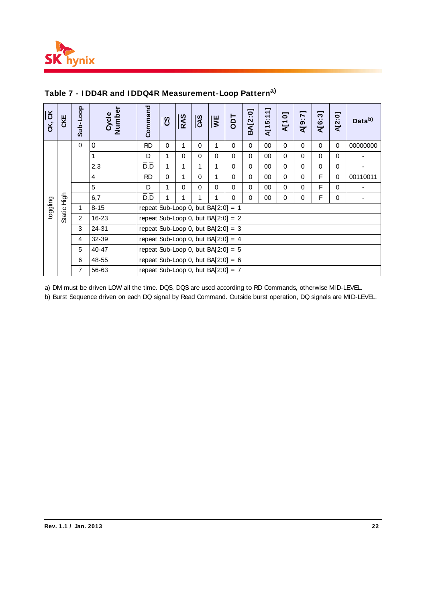

| CK, CK   | CKE                                                                                                                                                                                                                       | Sub-Loop       | Number<br>Cycle | Command                               | ပြီ                                   | <b>RAS</b> | $\overline{cs}$ | $\overline{M}$ | Tao         | BA[2:0]     | A[15:11] | <b>N101</b> | A[9:7]      | –<br>A[6:3] | A[2:0]   | Data <sup>b)</sup> |  |  |
|----------|---------------------------------------------------------------------------------------------------------------------------------------------------------------------------------------------------------------------------|----------------|-----------------|---------------------------------------|---------------------------------------|------------|-----------------|----------------|-------------|-------------|----------|-------------|-------------|-------------|----------|--------------------|--|--|
|          |                                                                                                                                                                                                                           | $\mathbf 0$    | $\mathbf 0$     | <b>RD</b>                             | $\Omega$                              | 1          | $\Omega$        | 1              | $\mathbf 0$ | 0           | 00       | $\Omega$    | $\Omega$    | $\Omega$    | $\Omega$ | 00000000           |  |  |
|          |                                                                                                                                                                                                                           |                | 1               | D                                     | 1                                     | $\Omega$   | $\mathbf 0$     | $\Omega$       | $\mathbf 0$ | $\Omega$    | 00       | $\Omega$    | $\Omega$    | $\Omega$    | $\Omega$ |                    |  |  |
|          |                                                                                                                                                                                                                           |                | 2,3             | $\overline{D}, \overline{D}$          | 1                                     | 1          | 1               | 1              | $\mathbf 0$ | $\Omega$    | 00       | $\Omega$    | $\Omega$    | $\Omega$    | $\Omega$ |                    |  |  |
|          |                                                                                                                                                                                                                           |                | 4               | <b>RD</b>                             | $\Omega$                              | 1          | $\Omega$        | 1              | $\mathbf 0$ | $\Omega$    | 00       | $\Omega$    | $\Omega$    | F           | $\Omega$ | 00110011           |  |  |
|          |                                                                                                                                                                                                                           |                | 5               | D                                     | 1                                     | $\Omega$   | $\Omega$        | $\Omega$       | $\mathbf 0$ | $\mathbf 0$ | 00       | $\Omega$    | $\Omega$    | F           | $\Omega$ |                    |  |  |
|          | 수<br>지역                                                                                                                                                                                                                   |                | 6,7             | $\overline{D}, \overline{D}$          |                                       | 1          | 1               | 1              | $\mathbf 0$ | $\mathbf 0$ | $00\,$   | $\mathbf 0$ | $\mathbf 0$ | F           | 0        | -                  |  |  |
| toggling |                                                                                                                                                                                                                           | 1              | $8 - 15$        |                                       | repeat Sub-Loop 0, but BA $[2:0] = 1$ |            |                 |                |             |             |          |             |             |             |          |                    |  |  |
|          | Static                                                                                                                                                                                                                    | $\overline{2}$ | 16-23           | repeat Sub-Loop 0, but BA $[2:0] = 2$ |                                       |            |                 |                |             |             |          |             |             |             |          |                    |  |  |
|          |                                                                                                                                                                                                                           | 3              | 24-31           | repeat Sub-Loop 0, but BA $[2:0] = 3$ |                                       |            |                 |                |             |             |          |             |             |             |          |                    |  |  |
|          |                                                                                                                                                                                                                           | 4              | 32-39           | repeat Sub-Loop 0, but $BA[2:0] = 4$  |                                       |            |                 |                |             |             |          |             |             |             |          |                    |  |  |
|          |                                                                                                                                                                                                                           | 5              | 40-47           | repeat Sub-Loop 0, but BA $[2:0] = 5$ |                                       |            |                 |                |             |             |          |             |             |             |          |                    |  |  |
|          |                                                                                                                                                                                                                           | 6              | 48-55           | repeat Sub-Loop 0, but BA $[2:0] = 6$ |                                       |            |                 |                |             |             |          |             |             |             |          |                    |  |  |
|          |                                                                                                                                                                                                                           | $\overline{7}$ | 56-63           | repeat Sub-Loop 0, but BA $[2:0] = 7$ |                                       |            |                 |                |             |             |          |             |             |             |          |                    |  |  |
|          | a) DM must be driven LOW all the time. DQS, DQS are used according to RD Commands, otherwise MID-LEVEL.<br>b) Burst Sequence driven on each DQ signal by Read Command. Outside burst operation, DQ signals are MID-LEVEL. |                |                 |                                       |                                       |            |                 |                |             |             |          |             |             |             |          |                    |  |  |

# **Table 7 - I DD4R and I DDQ4R Measurement-Loop Patterna)**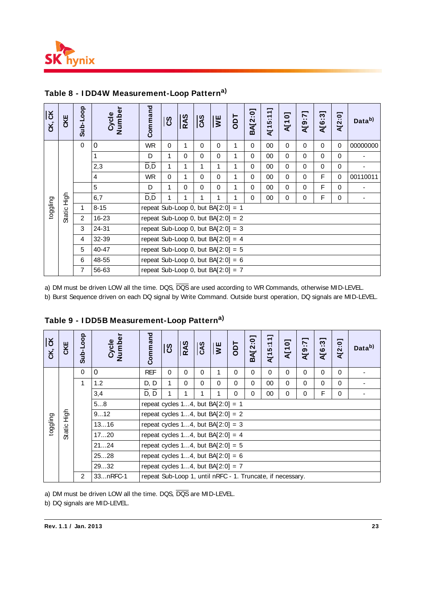

| CK, CK   | CKE         | Sub-Loop                                            | Cycle<br>Number                                                           | Command                                                                     | ပြီ          | RAS         | <b>CAS</b>  | $\overline{v}$                       | Tao          | <b>BA[2:0]</b> | A[15:11]  | <b>A[10]</b> | A[9:7]      | A[6:3]      | A[2:0]      | Data <sup>b)</sup>                   |  |  |  |  |  |  |  |  |  |  |
|----------|-------------|-----------------------------------------------------|---------------------------------------------------------------------------|-----------------------------------------------------------------------------|--------------|-------------|-------------|--------------------------------------|--------------|----------------|-----------|--------------|-------------|-------------|-------------|--------------------------------------|--|--|--|--|--|--|--|--|--|--|
|          |             | $\mathbf 0$                                         | 0                                                                         | <b>WR</b>                                                                   | 0            | 1           | $\mathbf 0$ | $\mathbf 0$                          | 1            | $\mathbf 0$    | $00\,$    | 0            | $\mathbf 0$ | 0           | $\mathbf 0$ | 00000000                             |  |  |  |  |  |  |  |  |  |  |
|          |             |                                                     | 1                                                                         | D                                                                           | 1            | $\mathbf 0$ | 0           | 0                                    | 1            | 0              | 00        | 0            | $\mathbf 0$ | 0           | $\mathbf 0$ |                                      |  |  |  |  |  |  |  |  |  |  |
|          |             |                                                     | 2,3                                                                       | $\overline{D}, \overline{D}$                                                | 1            | 1           | 1           | 1                                    | 1            | 0              | 00        | 0            | 0           | 0           | 0           |                                      |  |  |  |  |  |  |  |  |  |  |
|          |             |                                                     | $\overline{4}$                                                            | <b>WR</b>                                                                   | 0            | 1           | $\mathbf 0$ | $\mathbf 0$                          | $\mathbf{1}$ | 0              | 00        | 0            | $\pmb{0}$   | F           | $\mathbf 0$ | 00110011                             |  |  |  |  |  |  |  |  |  |  |
|          |             |                                                     | 5                                                                         | D                                                                           | 1            | 0           | 0           | $\mathbf 0$                          | 1            | 0              | 00        | 0            | 0           | F           | 0           |                                      |  |  |  |  |  |  |  |  |  |  |
|          |             |                                                     | 6,7                                                                       | $\overline{D}$ , $\overline{D}$                                             | 1            | 1           | 1           | $\mathbf{1}$                         | $\mathbf{1}$ | $\Omega$       | 00        | $\pmb{0}$    | $\mathbf 0$ | $\mathsf F$ | $\mathbf 0$ | $\blacksquare$                       |  |  |  |  |  |  |  |  |  |  |
| toggling | Static High | 1                                                   | $8 - 15$                                                                  | repeat Sub-Loop 0, but BA $[2:0] = 1$                                       |              |             |             |                                      |              |                |           |              |             |             |             |                                      |  |  |  |  |  |  |  |  |  |  |
|          |             | $\overline{c}$                                      | 16-23                                                                     | repeat Sub-Loop 0, but BA $[2:0] = 2$                                       |              |             |             |                                      |              |                |           |              |             |             |             |                                      |  |  |  |  |  |  |  |  |  |  |
|          |             | 24-31<br>3<br>repeat Sub-Loop 0, but BA $[2:0] = 3$ |                                                                           |                                                                             |              |             |             |                                      |              |                |           |              |             |             |             |                                      |  |  |  |  |  |  |  |  |  |  |
|          |             | 32-39<br>4<br>repeat Sub-Loop 0, but BA $[2:0] = 4$ |                                                                           |                                                                             |              |             |             |                                      |              |                |           |              |             |             |             |                                      |  |  |  |  |  |  |  |  |  |  |
|          |             | 40-47<br>repeat Sub-Loop 0, but BA $[2:0] = 5$<br>5 |                                                                           |                                                                             |              |             |             |                                      |              |                |           |              |             |             |             |                                      |  |  |  |  |  |  |  |  |  |  |
|          |             | 6<br>48-55<br>repeat Sub-Loop 0, but BA $[2:0] = 6$ |                                                                           |                                                                             |              |             |             |                                      |              |                |           |              |             |             |             |                                      |  |  |  |  |  |  |  |  |  |  |
|          |             | $\overline{7}$                                      | 56-63                                                                     | repeat Sub-Loop 0, but BA $[2:0] = 7$                                       |              |             |             |                                      |              |                |           |              |             |             |             |                                      |  |  |  |  |  |  |  |  |  |  |
| CK, CK   | CKE         | Sub-Loop                                            | Table 9 - IDD5B Measurement-Loop Pattern <sup>a)</sup><br>Cycle<br>Number | Command                                                                     | ပြီ          | <b>RAS</b>  | <b>CAS</b>  | ¥                                    | Tao          | BA[2:0]        | A[15:11]  | <b>A[10]</b> | A[9:7]      | A[6:3]      | A[2:0]      | Data <sup>b)</sup>                   |  |  |  |  |  |  |  |  |  |  |
|          |             | 0                                                   | $\mathbf 0$                                                               | <b>REF</b>                                                                  | 0            | $\mathbf 0$ | $\mathbf 0$ | 1                                    | $\pmb{0}$    | $\mathbf 0$    | $\pmb{0}$ | 0            | 0           | 0           | $\mathbf 0$ | $\blacksquare$                       |  |  |  |  |  |  |  |  |  |  |
|          |             | $\mathbf{1}$                                        | 1.2                                                                       | D, D                                                                        | 1            | 0           | $\mathbf 0$ | 0                                    | $\mathbf 0$  | $\mathbf 0$    | 00        | $\mathbf 0$  | $\mathsf 0$ | $\pmb{0}$   | $\pmb{0}$   |                                      |  |  |  |  |  |  |  |  |  |  |
|          |             |                                                     | 3,4                                                                       | D, D                                                                        | $\mathbf{1}$ | 1           | 1           | 1                                    | $\Omega$     | $\mathbf 0$    | 00        | 0            | 0           | F           | 0           | $\blacksquare$                       |  |  |  |  |  |  |  |  |  |  |
|          |             |                                                     | 58                                                                        | repeat cycles 14, but BA $[2:0] = 1$                                        |              |             |             |                                      |              |                |           |              |             |             |             |                                      |  |  |  |  |  |  |  |  |  |  |
|          | 승<br>도      |                                                     | 912                                                                       | repeat cycles 14, but $BA[2:0] = 2$                                         |              |             |             |                                      |              |                |           |              |             |             |             |                                      |  |  |  |  |  |  |  |  |  |  |
| gling    |             |                                                     | 1316                                                                      | repeat cycles 14, but $BA[2:0] = 3$                                         |              |             |             |                                      |              |                |           |              |             |             |             |                                      |  |  |  |  |  |  |  |  |  |  |
| togi     | Static      |                                                     | 1720                                                                      |                                                                             |              |             |             |                                      |              |                |           |              |             |             |             |                                      |  |  |  |  |  |  |  |  |  |  |
|          |             |                                                     | 2124                                                                      |                                                                             |              |             |             |                                      |              |                |           |              |             |             |             | repeat cycles 14, but BA $[2:0] = 4$ |  |  |  |  |  |  |  |  |  |  |
|          |             |                                                     |                                                                           |                                                                             |              |             |             | repeat cycles 14, but BA $[2:0] = 5$ |              |                |           |              |             |             |             |                                      |  |  |  |  |  |  |  |  |  |  |
|          |             |                                                     | 2528                                                                      | repeat cycles 14, but $BA[2:0] = 6$<br>repeat cycles 14, but BA $[2:0] = 7$ |              |             |             |                                      |              |                |           |              |             |             |             |                                      |  |  |  |  |  |  |  |  |  |  |
|          |             |                                                     | 2932                                                                      |                                                                             |              |             |             |                                      |              |                |           |              |             |             |             |                                      |  |  |  |  |  |  |  |  |  |  |
|          |             | $\overline{c}$                                      | 33nRFC-1                                                                  | repeat Sub-Loop 1, until nRFC - 1. Truncate, if necessary.                  |              |             |             |                                      |              |                |           |              |             |             |             |                                      |  |  |  |  |  |  |  |  |  |  |

# **Table 8 - I DD4W Measurement-Loop Patterna)**

| $\overline{5}$<br>čK, | CKE           | Sub-Loop                                    | Cycle<br>Number                              | Command                                                    | ပြီ                                 | RAS      | CAS      | $\overline{S}$ | Tdo      | <b>BA[2:0]</b> | $\overline{\phantom{0}}$<br>A[15:11 | A[10]       | -<br>T:6]A | A[6:3]      | A[2:0]   | Data <sup>b)</sup> |
|-----------------------|---------------|---------------------------------------------|----------------------------------------------|------------------------------------------------------------|-------------------------------------|----------|----------|----------------|----------|----------------|-------------------------------------|-------------|------------|-------------|----------|--------------------|
|                       |               | $\Omega$                                    | $\mathbf 0$                                  | <b>REF</b>                                                 | $\Omega$                            | $\Omega$ | $\Omega$ | 1              | $\Omega$ | $\Omega$       | $\Omega$                            | $\Omega$    | $\Omega$   | $\Omega$    | $\Omega$ |                    |
|                       |               | 1                                           | 1.2                                          | D, D                                                       | 1                                   | $\Omega$ | $\Omega$ | $\Omega$       | $\Omega$ | $\Omega$       | 00                                  | $\mathbf 0$ | 0          | $\mathbf 0$ | $\Omega$ |                    |
|                       |               |                                             | 3,4                                          | $\overline{D}, \overline{D}$                               | 1                                   |          |          | 1              | $\Omega$ | 0              | 00                                  | $\pmb{0}$   | 0          | F           | $\Omega$ |                    |
|                       |               |                                             | 58                                           | repeat cycles 14, but BA $[2:0] = 1$                       |                                     |          |          |                |          |                |                                     |             |            |             |          |                    |
|                       | 동<br>도        | 912<br>repeat cycles 14, but BA $[2:0] = 2$ |                                              |                                                            |                                     |          |          |                |          |                |                                     |             |            |             |          |                    |
| toggling              |               |                                             | 1316                                         |                                                            | repeat cycles 14, but $BA[2:0] = 3$ |          |          |                |          |                |                                     |             |            |             |          |                    |
|                       | <b>Static</b> |                                             | repeat cycles 14, but BA $[2:0] = 4$<br>1720 |                                                            |                                     |          |          |                |          |                |                                     |             |            |             |          |                    |
|                       |               |                                             | 2124                                         | repeat cycles 14, but $BA[2:0] = 5$                        |                                     |          |          |                |          |                |                                     |             |            |             |          |                    |
|                       |               |                                             | 2528                                         | repeat cycles 14, but BA $[2:0] = 6$                       |                                     |          |          |                |          |                |                                     |             |            |             |          |                    |
|                       |               |                                             | 2932                                         | repeat cycles 14, but BA $[2:0] = 7$                       |                                     |          |          |                |          |                |                                     |             |            |             |          |                    |
|                       |               | 2                                           | 33nRFC-1                                     | repeat Sub-Loop 1, until nRFC - 1. Truncate, if necessary. |                                     |          |          |                |          |                |                                     |             |            |             |          |                    |

**Table 9 - I DD5B Measurement-Loop Patterna)**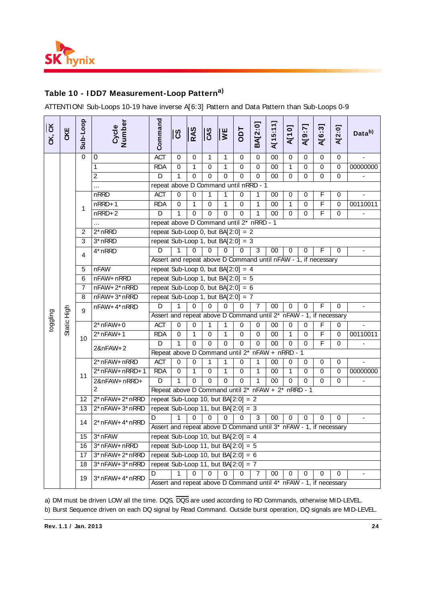

# **Table 10 - I DD7 Measurement-Loop Patterna)**

ATTENTION! Sub-Loops 10-19 have inverse A[6:3] Pattern and Data Pattern than Sub-Loops 0-9

| CK, CK   | CKE         | Sub-Loop       | Cycle<br>Number                                                                                                                                                                                                           | Command                                                                | ပိ                                       | RAS          | $\overline{c}$ | $\overline{\mathbf{v}}$ | Tao         | BA[2:0]      | A[15:11]        | <b>N101</b>  | [2:6]W         | A[6:3]                  | A[2:0]      | Data <sup>b)</sup> |
|----------|-------------|----------------|---------------------------------------------------------------------------------------------------------------------------------------------------------------------------------------------------------------------------|------------------------------------------------------------------------|------------------------------------------|--------------|----------------|-------------------------|-------------|--------------|-----------------|--------------|----------------|-------------------------|-------------|--------------------|
|          |             | $\mathbf 0$    | 0                                                                                                                                                                                                                         | <b>ACT</b>                                                             | $\Omega$                                 | $\Omega$     | $\mathbf{1}$   | $\mathbf{1}$            | $\Omega$    | $\Omega$     | 00              | $\Omega$     | $\mathbf 0$    | $\Omega$                | $\mathbf 0$ | $\mathbf{r}$       |
|          |             |                | $\mathbf{1}$                                                                                                                                                                                                              | <b>RDA</b>                                                             | $\mathbf 0$                              | $\mathbf{1}$ | $\mathbf 0$    | $\mathbf{1}$            | 0           | $\mathbf 0$  | 00              | $\mathbf{1}$ | $\pmb{0}$      | $\overline{0}$          | $\mathbf 0$ | 00000000           |
|          |             |                | $\boldsymbol{2}$                                                                                                                                                                                                          | $\overline{D}$                                                         | 1                                        | $\Omega$     | $\mathbf 0$    | $\overline{0}$          | $\mathbf 0$ | $\Omega$     | $\overline{00}$ | $\mathbf 0$  | $\overline{0}$ | $\mathbf 0$             | 0           |                    |
|          |             |                | $\cdots$                                                                                                                                                                                                                  | repeat above D Command until nRRD - 1                                  |                                          |              |                |                         |             |              |                 |              |                |                         |             |                    |
|          |             |                | nRRD                                                                                                                                                                                                                      | <b>ACT</b>                                                             | $\mathbf 0$                              | 0            | 1              | 1                       | 0           | 1            | 00              | 0            | 0              | F                       | 0           |                    |
|          |             | 1              | nRRD+1                                                                                                                                                                                                                    | <b>RDA</b>                                                             | $\overline{0}$                           | $\mathbf{1}$ | $\mathbf 0$    | $\mathbf{1}$            | $\Omega$    | $\mathbf{1}$ | $\overline{00}$ | $\mathbf{1}$ | $\overline{0}$ | $\overline{\mathsf{F}}$ | $\mathbf 0$ | 00110011           |
|          |             |                | $nRRD+2$                                                                                                                                                                                                                  | D                                                                      | 1                                        | $\Omega$     | $\Omega$       | $\Omega$                | $\Omega$    | $\mathbf{1}$ | 00              | $\Omega$     | 0              | F                       | $\Omega$    |                    |
|          |             |                |                                                                                                                                                                                                                           |                                                                        | repeat above D Command until 2* nRRD - 1 |              |                |                         |             |              |                 |              |                |                         |             |                    |
|          |             | $\overline{2}$ | $2*$ nRRD                                                                                                                                                                                                                 | repeat Sub-Loop 0, but BA $[2:0] = 2$                                  |                                          |              |                |                         |             |              |                 |              |                |                         |             |                    |
|          |             | 3              | 3* nRRD                                                                                                                                                                                                                   | repeat Sub-Loop 1, but $BA[2:0] = 3$                                   |                                          |              |                |                         |             |              |                 |              |                |                         |             |                    |
|          |             | 4              | 4* nRRD                                                                                                                                                                                                                   | D                                                                      | 1                                        | $\Omega$     | $\Omega$       | $\Omega$                | $\Omega$    | 3            | 00              | 0            | 0              | F                       | 0           |                    |
|          |             |                |                                                                                                                                                                                                                           | Assert and repeat above D Command until nFAW - 1, if necessary         |                                          |              |                |                         |             |              |                 |              |                |                         |             |                    |
|          |             | 5              | <b>nFAW</b>                                                                                                                                                                                                               | repeat Sub-Loop 0, but BA $[2:0] = 4$                                  |                                          |              |                |                         |             |              |                 |              |                |                         |             |                    |
|          |             | 6              | nFAW+nRRD                                                                                                                                                                                                                 | repeat Sub-Loop 1, but $BA[2:0] = 5$                                   |                                          |              |                |                         |             |              |                 |              |                |                         |             |                    |
|          |             | $\overline{7}$ | repeat Sub-Loop 0, but BA $[2:0] = 6$<br>nFAW+2* nRRD                                                                                                                                                                     |                                                                        |                                          |              |                |                         |             |              |                 |              |                |                         |             |                    |
|          |             | 8              | nFAW+3*nRRD                                                                                                                                                                                                               | repeat Sub-Loop 1, but BA $[2:0] = 7$                                  |                                          |              |                |                         |             |              |                 |              |                |                         |             |                    |
|          |             | 9              | nFAW+4* nRRD                                                                                                                                                                                                              | D                                                                      | 1                                        | $\Omega$     | $\Omega$       | $\Omega$                | 0           | 7            | $00\,$          | $\mathbf 0$  | $\Omega$       | F                       | $\mathbf 0$ |                    |
| toggling |             |                |                                                                                                                                                                                                                           | Assert and repeat above D Command until 2* nFAW - 1, if necessary      |                                          |              |                |                         |             |              |                 |              |                |                         |             |                    |
|          | Static High |                | $2*nFAW+0$                                                                                                                                                                                                                | <b>ACT</b>                                                             | $\mathbf 0$                              | 0            | 1              | 1                       | 0           | 0            | 00              | $\mathbf 0$  | 0              | F                       | $\mathbf 0$ |                    |
|          |             | 10             | $2*$ nFAW+1                                                                                                                                                                                                               | <b>RDA</b>                                                             | $\mathbf 0$                              | 1            | $\mathbf 0$    | $\mathbf{1}$            | $\mathbf 0$ | $\mathbf 0$  | 00              | $\mathbf{1}$ | $\mathbf 0$    | $\overline{\mathsf{F}}$ | $\mathbf 0$ | 00110011           |
|          |             |                | 2&nFAW+2                                                                                                                                                                                                                  | D                                                                      | 1                                        | $\Omega$     | $\Omega$       | $\Omega$                | $\Omega$    | $\Omega$     | $00\,$          | $\Omega$     | $\Omega$       | F                       | 0           |                    |
|          |             |                |                                                                                                                                                                                                                           | Repeat above D Command until 2* nFAW + nRRD - 1                        |                                          |              |                |                         |             |              |                 |              |                |                         |             |                    |
|          |             |                | 2* nFAW+ nRRD                                                                                                                                                                                                             | <b>ACT</b>                                                             | $\mathbf 0$                              | $\mathbf 0$  | 1              | $\mathbf{1}$            | $\mathbf 0$ | 1            | 00              | $\mathbf 0$  | $\mathbf 0$    | 0                       | 0           |                    |
|          |             | 11             | $2*nFAW+nRRD+1$                                                                                                                                                                                                           | <b>RDA</b>                                                             | $\overline{0}$                           | $\mathbf{1}$ | $\overline{0}$ | 1                       | $\mathbf 0$ | $\mathbf{1}$ | 00              | $\mathbf{1}$ | $\overline{0}$ | $\overline{0}$          | $\mathbf 0$ | 00000000           |
|          |             |                | 2&nFAW+nRRD+                                                                                                                                                                                                              | D                                                                      | 1                                        | $\Omega$     | $\Omega$       | $\Omega$                | $\Omega$    | 1            | 00              | $\Omega$     | $\Omega$       | $\Omega$                | 0           |                    |
|          |             |                | $\overline{2}$                                                                                                                                                                                                            | Repeat above D Command until 2* nFAW + 2* nRRD - 1                     |                                          |              |                |                         |             |              |                 |              |                |                         |             |                    |
|          |             | 12             | 2* nFAW+ 2* nRRD                                                                                                                                                                                                          | repeat Sub-Loop 10, but BA $[2:0] = 2$                                 |                                          |              |                |                         |             |              |                 |              |                |                         |             |                    |
|          |             | 13             | 2* nFAW+ 3* nRRD                                                                                                                                                                                                          | repeat Sub-Loop 11, but BA $[2:0] = 3$                                 |                                          |              |                |                         |             |              |                 |              |                |                         |             |                    |
|          |             | 14             | $2^*$ nFAW+ $4^*$ nRRD                                                                                                                                                                                                    | D                                                                      | 1                                        | $\Omega$     | $\Omega$       | $\Omega$                | $\Omega$    | 3            | 00              | $\Omega$     | $\Omega$       | 0                       | 0           |                    |
|          |             |                |                                                                                                                                                                                                                           | Assert and repeat above D Command until 3* nFAW - 1, if necessary      |                                          |              |                |                         |             |              |                 |              |                |                         |             |                    |
|          |             | 15             | 3* nFAW                                                                                                                                                                                                                   | repeat Sub-Loop 10, but BA $[2:0] = 4$                                 |                                          |              |                |                         |             |              |                 |              |                |                         |             |                    |
|          |             | 16             | 3* nFAW+ nRRD                                                                                                                                                                                                             | repeat Sub-Loop 11, but BA $[2:0] = 5$                                 |                                          |              |                |                         |             |              |                 |              |                |                         |             |                    |
|          |             | 17             | 3* nFAW+ 2* nRRD                                                                                                                                                                                                          | repeat Sub-Loop 10, but BA $[2:0] = 6$                                 |                                          |              |                |                         |             |              |                 |              |                |                         |             |                    |
|          |             | 18             | 3* nFAW+ 3* nRRD                                                                                                                                                                                                          | repeat Sub-Loop 11, but BA $[2:0] = 7$                                 |                                          |              |                |                         |             |              |                 |              |                |                         |             |                    |
|          |             | 19             | 3* nFAW+ 4* nRRD                                                                                                                                                                                                          | D<br>Assert and repeat above D Command until 4* nFAW - 1, if necessary | 1                                        | 0            | 0              | 0                       | 0           | 7            | 00              | 0            | 0              | 0                       | 0           |                    |
|          |             |                | a) DM must be driven LOW all the time. DQS, DQS are used according to RD Commands, otherwise MID-LEVEL.<br>b) Burst Sequence driven on each DQ signal by Read Command. Outside burst operation, DQ signals are MID-LEVEL. |                                                                        |                                          |              |                |                         |             |              |                 |              |                |                         |             |                    |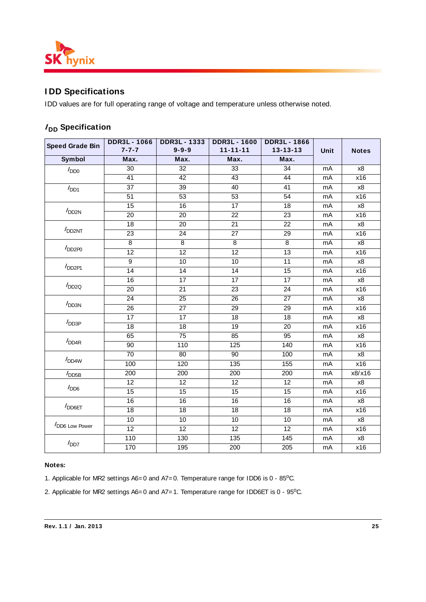

# **I DD Specifications**

IDD values are for full operating range of voltage and temperature unless otherwise noted.

# **I**<sub>DD</sub> Specification

| <b>Speed Grade Bin</b>                 | <b>DDR3L-1066</b><br>$7 - 7 - 7$ | <b>DDR3L-1333</b><br>$9 - 9 - 9$ | <b>DDR3L-1600</b><br>$11 - 11 - 11$ | <b>DDR3L-1866</b><br>$13 - 13 - 13$ | Unit | <b>Notes</b> |
|----------------------------------------|----------------------------------|----------------------------------|-------------------------------------|-------------------------------------|------|--------------|
| <b>Symbol</b>                          | Max.                             | Max.                             | Max.                                | Max.                                |      |              |
| I <sub>DD0</sub>                       | 30                               | 32                               | 33                                  | 34                                  | mA   | x8           |
|                                        | $\overline{41}$                  | $\overline{42}$                  | 43                                  | 44                                  | mA   | x16          |
| I <sub>DD1</sub>                       | $\overline{37}$                  | $\overline{39}$                  | 40                                  | $\overline{41}$                     | mA   | x8           |
|                                        | 51                               | 53                               | 53                                  | 54                                  | mA   | x16          |
|                                        | 15                               | 16                               | $\overline{17}$                     | 18                                  | mA   | x8           |
| I <sub>DD2N</sub>                      | $\overline{20}$                  | 20                               | $\overline{22}$                     | $\overline{23}$                     | mA   | x16          |
|                                        | 18                               | 20                               | 21                                  | 22                                  | mA   | x8           |
| I <sub>DD2NT</sub>                     | $\overline{23}$                  | $\overline{24}$                  | $\overline{27}$                     | $\overline{29}$                     | mA   | x16          |
|                                        | 8                                | 8                                | 8                                   | 8                                   | mA   | x8           |
| $I_{DD2P0}$                            | 12                               | 12                               | $\overline{12}$                     | 13                                  | mA   | x16          |
|                                        | 9                                | 10                               | 10                                  | $\overline{11}$                     | mA   | x8           |
| $I_{DD2P1}$                            | 14                               | 14                               | $\overline{14}$                     | 15                                  | mA   | x16          |
|                                        | 16                               | 17                               | 17                                  | 17                                  | mA   | $x8$         |
| $I_{DD2Q}$                             | $\overline{20}$                  | $\overline{21}$                  | $\overline{23}$                     | $\overline{24}$                     | mA   | x16          |
|                                        | 24                               | $\overline{25}$                  | 26                                  | 27                                  | mA   | x8           |
|                                        | 26                               | 27                               | 29                                  | 29                                  | mA   | x16          |
| I <sub>DD3N</sub><br>I <sub>DD3P</sub> | 17                               | 17                               | $\overline{18}$                     | $\overline{18}$                     | mA   | x8           |
|                                        | $\overline{18}$                  | 18                               | 19                                  | 20                                  | mA   | x16          |
|                                        | 65                               | 75                               | 85                                  | 95                                  | mA   | $x8$         |
| I <sub>DD4R</sub>                      | 90                               | 110                              | 125                                 | 140                                 | mA   | x16          |
|                                        | 70                               | 80                               | $\overline{90}$                     | 100                                 | mA   | x8           |
| I <sub>DD4W</sub>                      | 100                              | 120                              | 135                                 | 155                                 | mA   | x16          |
| I <sub>DD5B</sub>                      | 200                              | 200                              | 200                                 | $\overline{200}$                    | mA   | x8/x16       |
|                                        | $\overline{12}$                  | $\overline{12}$                  | $\overline{12}$                     | $\overline{12}$                     | mA   | x8           |
| I <sub>DD6</sub>                       | 15                               | 15                               | 15                                  | 15                                  | mA   | x16          |
|                                        | 16                               | $\overline{16}$                  | 16                                  | 16                                  | mA   | x8           |
| $I_{\text{DD6ET}}$                     | $\overline{18}$                  | $\overline{18}$                  | 18                                  | $\overline{18}$                     | mA   | x16          |
|                                        | 10                               | 10                               | 10                                  | 10                                  | mA   | x8           |
| DD6 Low Power                          | 12                               | $\overline{12}$                  | $\overline{12}$                     | $\overline{12}$                     | mA   | x16          |
|                                        | 110                              | 130                              | 135                                 | 145                                 | mA   | x8           |
| I <sub>DD7</sub>                       | 170                              | 195                              | 200                                 | 205                                 | mA   | x16          |

#### **Notes:**

1. Applicable for MR2 settings  $AS = 0$  and  $A7 = 0$ . Temperature range for IDD6 is  $0 - 85^{\circ}$ C.

2. Applicable for MR2 settings  $AS = 0$  and  $AZ = 1$ . Temperature range for IDD6ET is  $0 - 95^{\circ}$ C.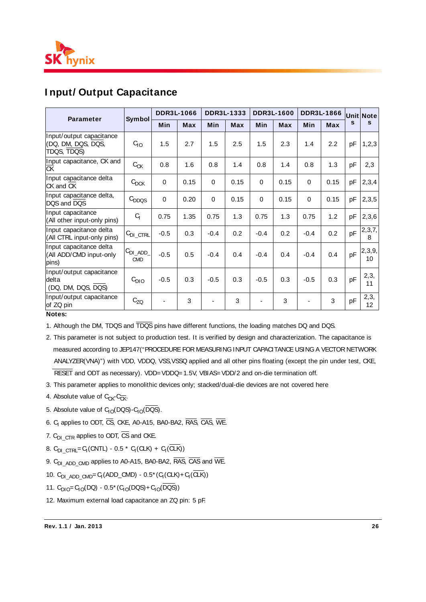

# **I nput/ Output Capacitance**

| <b>Parameter</b>                                              |                    | <b>DDR3L-1066</b> |            |          | DDR3L-1333 |                          | <b>DDR3L-1600</b> | <b>DDR3L-1866</b> |            |              | <b>Unit Note</b><br>S   |
|---------------------------------------------------------------|--------------------|-------------------|------------|----------|------------|--------------------------|-------------------|-------------------|------------|--------------|-------------------------|
|                                                               | Symbol             | <b>Min</b>        | <b>Max</b> | Min      | <b>Max</b> | <b>Min</b>               | <b>Max</b>        | <b>Min</b>        | <b>Max</b> | $\mathbf{s}$ |                         |
| Input/output capacitance<br>(DQ, DM, DQS, DQS,<br>TDQS, TDQS) | Go                 | 1.5               | 2.7        | 1.5      | 2.5        | 1.5                      | 2.3               | 1.4               | 2.2        | pF           | 1, 2, 3                 |
| Input capacitance, CK and<br><b>CK</b>                        | $C_{CK}$           | 0.8               | 1.6        | 0.8      | 1.4        | 0.8                      | 1.4               | 0.8               | 1.3        | pF           | 2,3                     |
| Input capacitance delta<br>CK and CK                          | $C_{\text{DCK}}$   | $\Omega$          | 0.15       | $\Omega$ | 0.15       | $\Omega$                 | 0.15              | 0                 | 0.15       | pF           | 2,3,4                   |
| Input capacitance delta,<br>DQS and DQS                       | $C_{DDQS}$         | 0                 | 0.20       | $\Omega$ | 0.15       | $\mathbf 0$              | 0.15              | $\Omega$          | 0.15       | pF           | 2,3,5                   |
| Input capacitance<br>(All other input-only pins)              | $C_{1}$            | 0.75              | 1.35       | 0.75     | 1.3        | 0.75                     | 1.3               | 0.75              | 1.2        | pF           | 2,3,6                   |
| Input capacitance delta<br>(All CTRL input-only pins)         | $C_{DI\_CTRL}$     | $-0.5$            | 0.3        | $-0.4$   | 0.2        | $-0.4$                   | 0.2               | $-0.4$            | 0.2        | pF           | 2,3,7,<br>8             |
| Input capacitance delta<br>(All ADD/CMD input-only<br>pins)   | $CDI$ $ADD$<br>CMD | $-0.5$            | 0.5        | $-0.4$   | 0.4        | $-0.4$                   | 0.4               | $-0.4$            | 0.4        | pF           | 2,3,9,<br>10            |
| Input/output capacitance<br>delta<br>(DQ, DM, DQS, DQS)       | C <sub>DIO</sub>   | $-0.5$            | 0.3        | $-0.5$   | 0.3        | $-0.5$                   | 0.3               | $-0.5$            | 0.3        | pF           | 2,3,<br>11              |
| Input/output capacitance<br>of ZQ pin                         | $C_{ZQ}$           |                   | 3          |          | 3          | $\overline{\phantom{a}}$ | 3                 |                   | 3          | pF           | 2,3,<br>12 <sup>2</sup> |

#### **Notes:**

1. Although the DM, TDQS and TDQS pins have different functions, the loading matches DQ and DQS.

- 2. This parameter is not subject to production test. It is verified by design and characterization. The capacitance is measured according to JEP147("PROCEDURE FOR MEASURING INPUT CAPACITANCE USING A VECTOR NETWORK ANALYZER(VNA)") with VDD, VDDQ, VSS,VSSQ applied and all other pins floating (except the pin under test, CKE, RESET and ODT as necessary). VDD= VDDQ= 1.5V, VBIAS= VDD/2 and on-die termination off.
- 3. This parameter applies to monolithic devices only; stacked/dual-die devices are not covered here
- 4. Absolute value of  $C_{CK}C_{CK}$ .
- 5. Absolute value of  $C_{10}(DQS)$ - $C_{10}(DQS)$ .
- 6. C<sub>i</sub> applies to ODT, CS, CKE, A0-A15, BA0-BA2, RAS, CAS, WE.
- 7.  $C_{DI\_CTR}$  applies to ODT,  $\overline{CS}$  and CKE.
- 8. C<sub>DI\_CTRL</sub>= G(CNTL) 0.5 \* G(CLK) + G(CLK))
- 9. C<sub>DI</sub> ADD CMD applies to A0-A15, BA0-BA2, RAS, CAS and WE.
- 10. C<sub>DI\_ADD\_CMD</sub>= C<sub>I</sub>(ADD\_CMD) 0.5<sup>\*</sup> (C<sub>I</sub>(CLK)+ C<sub>I</sub>(CLK))
- 11.  $C_{DIO} = C_{IO}(DQ) 0.5*(C_{IO}(DQS) + C_{IO}(DQS))$
- 12. Maximum external load capacitance an ZQ pin: 5 pF.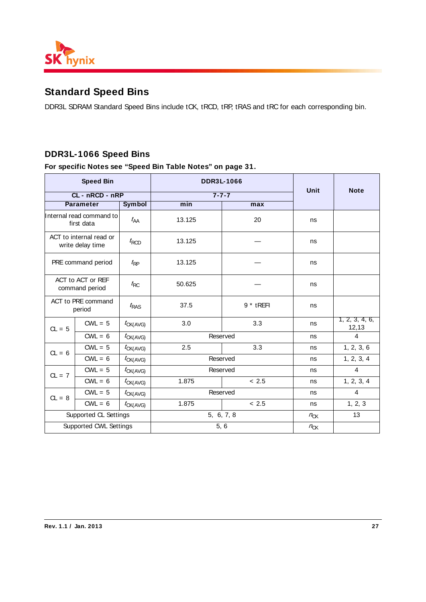

# **Standard Speed Bins**

DDR3L SDRAM Standard Speed Bins include tCK, tRCD, tRP, tRAS and tRC for each corresponding bin.

# **DDR3L-1066 Speed Bins**

|                                             | <b>Speed Bin</b>                    |                   | <b>DDR3L-1066</b> |              |             |                         |
|---------------------------------------------|-------------------------------------|-------------------|-------------------|--------------|-------------|-------------------------|
|                                             | CL-nRCD-nRP                         |                   | $7 - 7 - 7$       |              | <b>Unit</b> | <b>Note</b>             |
|                                             | <b>Parameter</b>                    | <b>Symbol</b>     | min               |              |             |                         |
| Internal read command to<br>first data      |                                     | $t_{AA}$          | 13.125            | 20           | ns          |                         |
| ACT to internal read or<br>write delay time |                                     | $t_{\text{RCD}}$  | 13.125            |              | ns          |                         |
| PRE command period                          |                                     | $t_{\mathsf{RP}}$ | 13.125            |              | ns          |                         |
|                                             | ACT to ACT or REF<br>command period | $t_{\text{RC}}$   | 50.625            |              | ns          |                         |
|                                             | ACT to PRE command<br>period        | $t_{RAS}$         | 37.5              | $9 * t$ REFI | ns          |                         |
| $CL = 5$                                    | $CWL = 5$                           | $t_{CK(AVG)}$     | 3.0               | 3.3          | ns          | 1, 2, 3, 4, 6,<br>12,13 |
|                                             | $CWL = 6$                           | $t_{CK(AVG)}$     | Reserved          |              | ns          | 4                       |
| $CL = 6$                                    | $CWL = 5$                           | $t_{CK(AVG)}$     | 2.5               | 3.3          | ns          | 1, 2, 3, 6              |
|                                             | $CWL = 6$                           | $t_{CK(AVG)}$     |                   | Reserved     | ns          | 1, 2, 3, 4              |
| $CL = 7$                                    | $CWL = 5$                           | $t_{CK(AVG)}$     | Reserved          |              | ns          | 4                       |
|                                             | $CWL = 6$                           | $t_{CK(AVG)}$     | 1.875             | < 2.5        | ns          | 1, 2, 3, 4              |
| $CL = 8$                                    | $CWL = 5$                           | $t_{CK(AVG)}$     | Reserved          |              | ns          | $\overline{4}$          |
|                                             | $CWL = 6$                           | $t_{CK(AVG)}$     | 1.875             | < 2.5        | ns          | 1, 2, 3                 |
|                                             | Supported CL Settings               |                   |                   | 5, 6, 7, 8   | $n_{CK}$    | 13                      |
|                                             | Supported CWL Settings              |                   |                   | 5, 6         | $n_{CK}$    |                         |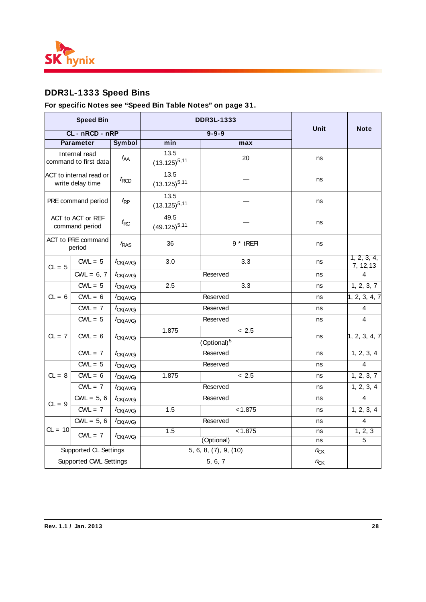

# **DDR3L-1333 Speed Bins**

|                                             | <b>Speed Bin</b>                       |                      |                           | <b>DDR3L-1333</b>       |          |                          |
|---------------------------------------------|----------------------------------------|----------------------|---------------------------|-------------------------|----------|--------------------------|
|                                             | CL - nRCD - nRP                        |                      |                           | $9 - 9 - 9$             | Unit     | <b>Note</b>              |
|                                             | <b>Parameter</b>                       | <b>Symbol</b>        | min                       | max                     |          |                          |
|                                             | Internal read<br>command to first data | $t_{\sf AA}$         | 13.5<br>$(13.125)^{5,11}$ | 20                      | ns       |                          |
| ACT to internal read or<br>write delay time |                                        | $t_{\text{RCD}}$     | 13.5<br>$(13.125)^{5,11}$ |                         | ns       |                          |
| PRE command period                          |                                        | $t_{\mathsf{RP}}$    | 13.5<br>$(13.125)^{5,11}$ |                         | ns       |                          |
|                                             | ACT to ACT or REF<br>command period    | $t_{\text{RC}}$      | 49.5<br>$(49.125)^{5,11}$ |                         | ns       |                          |
|                                             | ACT to PRE command<br>period           | $t_{RAS}$            | 36                        | $9 * t$ REFI            | ns       |                          |
| $CL = 5$                                    | $CWL = 5$                              | $t_{CK(AVG)}$        | 3.0                       | 3.3                     | ns       | 1, 2, 3, 4,<br>7, 12, 13 |
|                                             | $CWL = 6, 7$                           | $t_{CK(AVG)}$        |                           | Reserved                | ns       | 4                        |
|                                             | $\overline{C}WL = 5$                   | 2.5<br>$t_{CK(AVG)}$ |                           | 3.3                     | ns       | 1, 2, 3, 7               |
| $CL = 6$                                    | $CWL = 6$                              | $t_{CK(AVG)}$        |                           | Reserved                | ns       | 1, 2, 3, 4, 7            |
|                                             | $CWL = 7$                              | $t_{CK(AVG)}$        |                           | Reserved                | ns       | $\overline{4}$           |
|                                             | $CWL = 5$                              | $t_{CK(AVG)}$        |                           | Reserved                | ns       | $\overline{4}$           |
| $CL = 7$                                    | $CWL = 6$                              |                      | 1.875                     | ~12.5                   |          |                          |
|                                             |                                        | $t_{CK(AVG)}$        |                           | (Optional) <sup>5</sup> | ns       | 1, 2, 3, 4, 7            |
|                                             | $CWL = 7$                              | $t_{CK(AVG)}$        |                           | Reserved                | ns       | 1, 2, 3, 4               |
|                                             | $CWL = 5$                              | $t_{CK(AVG)}$        |                           | Reserved                | ns       | $\overline{4}$           |
| $CL = 8$                                    | $CWL = 6$                              | $t_{CK(AVG)}$        | 1.875                     | < 2.5                   | ns       | 1, 2, 3, 7               |
|                                             | $CWL = 7$                              | $t_{CK(AVG)}$        |                           | Reserved                | ns       | 1, 2, 3, 4               |
| $CL = 9$                                    | $CWL = 5, 6$                           | $t_{CK(AVG)}$        |                           | Reserved                | ns       | $\overline{4}$           |
|                                             | $CWL = 7$                              | $t_{CK(AVG)}$        | 1.5                       | < 1.875                 | ns       | 1, 2, 3, 4               |
|                                             | $CWL = 5, 6$                           | $t_{CK(AVG)}$        |                           | Reserved                | ns       | $\overline{4}$           |
| $CL = 10$                                   | $CWL = 7$                              | $t_{CK(AVG)}$        | 1.5                       | < 1.875                 | ns       | 1, 2, 3                  |
|                                             |                                        |                      |                           | (Optional)              | ns       | 5                        |
|                                             | Supported CL Settings                  |                      |                           | 5, 6, 8, (7), 9, (10)   | $n_{CK}$ |                          |
|                                             | Supported CWL Settings                 |                      |                           | 5, 6, 7                 | $n_{CK}$ |                          |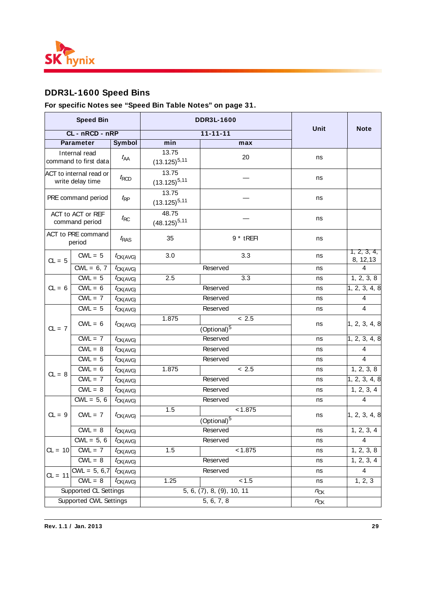

# **DDR3L-1600 Speed Bins**

|           | <b>Speed Bin</b>                            |                   |                            | <b>DDR3L-1600</b>         |          |                          |
|-----------|---------------------------------------------|-------------------|----------------------------|---------------------------|----------|--------------------------|
|           | CL - nRCD - nRP                             |                   |                            | $11 - 11 - 11$            | Unit     | <b>Note</b>              |
|           | <b>Parameter</b>                            | Symbol            | min                        | max                       |          |                          |
|           | Internal read<br>command to first data      | $t_{\sf AA}$      | 13.75<br>$(13.125)^{5,11}$ | 20                        | ns       |                          |
|           | ACT to internal read or<br>write delay time | $t_{\text{RCD}}$  | 13.75<br>$(13.125)^{5,11}$ |                           | ns       |                          |
|           | PRE command period                          | $t_{\sf RP}$      | 13.75<br>$(13.125)^{5,11}$ |                           | ns       |                          |
|           | ACT to ACT or REF<br>command period         | $t_{\mathsf{RC}}$ | 48.75<br>$(48.125)^{5,11}$ |                           | ns       |                          |
|           | ACT to PRE command<br>period                | $t_{\text{RAS}}$  | 35                         | 9 * tREFI                 | ns       |                          |
| $CL = 5$  | $CWL = 5$                                   | $t_{CK(AVG)}$     | 3.0                        | 3.3                       | ns       | 1, 2, 3, 4,<br>8, 12, 13 |
|           | $CWL = 6, 7$                                | ${}^t$ CK(AVG)    |                            | Reserved                  | ns       | 4                        |
|           | $CWL = 5$                                   | $t_{CK(AVG)}$     | 2.5                        | 3.3                       | ns       | 1, 2, 3, 8               |
| $CL = 6$  | $CWL = 6$                                   | ${}^t$ CK(AVG)    |                            | Reserved                  | ns       | 1, 2, 3, 4, 8            |
|           | $CWL = 7$                                   | $t_{CK(AVG)}$     |                            | Reserved                  | ns       | 4                        |
|           | $CWL = 5$                                   | $t_{CK(AVG)}$     |                            | Reserved                  | ns       | $\overline{4}$           |
| $CL = 7$  | $CWL = 6$                                   | $t_{CK(AVG)}$     | 1.875                      | < 2.5<br>$(Optional)^5$   | ns       | 1, 2, 3, 4, 8            |
|           | $CWL = 7$                                   | $t_{CK(AVG)}$     |                            | Reserved                  | ns       | 1, 2, 3, 4, 8            |
|           | $CWL = 8$                                   | $t_{CK(AVG)}$     |                            | Reserved                  | ns       | 4                        |
|           | $CWL = 5$                                   | $t_{CK(AVG)}$     |                            | Reserved                  | ns       | 4                        |
|           | $CWL = 6$                                   | $t_{CK(AVG)}$     | 1.875                      | < 2.5                     | ns       | 1, 2, 3, 8               |
| $CL = 8$  | $CWL = 7$                                   | $t_{CK(AVG)}$     |                            | Reserved                  | ns       | 1, 2, 3, 4, 8            |
|           | $CWL = 8$                                   | $t_{CK(AVG)}$     |                            | Reserved                  | ns       | 1, 2, 3, 4               |
|           | $CWL = 5, 6$                                | ${}^t$ CK(AVG)    |                            | Reserved                  | ns       | $\overline{4}$           |
| $CL = 9$  | $CWL = 7$                                   | ${}^t$ CK(AVG)    | 1.5                        | < 1.875<br>$(Optional)^5$ | ns       | 1, 2, 3, 4, 8            |
|           | $CWL = 8$                                   | $t_{CK(AVG)}$     |                            | Reserved                  | ns       | 1, 2, 3, 4               |
|           | $CWL = 5, 6$                                | $t_{CK(AVG)}$     |                            | Reserved                  | ns       | $\overline{4}$           |
| $CL = 10$ | $CWL = 7$                                   | $t_{CK(AVG)}$     | 1.5                        | < 1.875                   | ns       | 1, 2, 3, 8               |
|           | $CWL = 8$                                   | $t_{CK(AVG)}$     |                            | Reserved                  | ns       | 1, 2, 3, 4               |
|           | $CWL = 5, 6, 7$                             | $t_{CK(AVG)}$     |                            | Reserved                  | ns       | $\overline{4}$           |
| $CL = 11$ | $CWL = 8$                                   | $t_{CK(AVG)}$     | 1.25                       | 1.5                       | ns       | 1, 2, 3                  |
|           | Supported CL Settings                       |                   |                            | 5, 6, (7), 8, (9), 10, 11 | $n_{CK}$ |                          |
|           | Supported CWL Settings                      |                   |                            | 5, 6, 7, 8                | $n_{CK}$ |                          |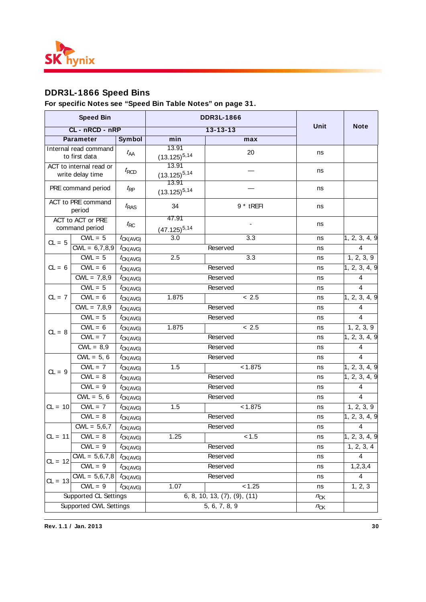

# **DDR3L-1866 Speed Bins**

|                    | <b>Speed Bin</b>                            |                   |                            | <b>DDR3L-1866</b>                    |          |                         |
|--------------------|---------------------------------------------|-------------------|----------------------------|--------------------------------------|----------|-------------------------|
|                    | CL-nRCD-nRP                                 |                   |                            | $13 - 13 - 13$                       | Unit     | <b>Note</b>             |
|                    | <b>Parameter</b>                            | Symbol            | min                        | max                                  |          |                         |
|                    | Internal read command<br>to first data      | $t_{\sf AA}$      | 13.91<br>$(13.125)^{5,14}$ | 20                                   | ns       |                         |
|                    | ACT to internal read or<br>write delay time | $t_{\text{RCD}}$  | 13.91<br>$(13.125)^{5,14}$ |                                      | ns       |                         |
| PRE command period |                                             | $t_{\sf RP}$      | 13.91<br>$(13.125)^{5,14}$ |                                      | ns       |                         |
|                    | ACT to PRE command<br>period                | $t_{RAS}$         | 34                         | 9 * tREFI                            | ns       |                         |
|                    | ACT to ACT or PRE<br>command period         | $t_{\mathsf{RC}}$ | 47.91<br>$(47.125)^{5,14}$ |                                      | ns       |                         |
| $CL = 5$           | $CWL = 5$                                   | $t_{CK(AVG)}$     | 3.0                        | $\overline{3.3}$                     | ns       | 1, 2, 3, 4, 9           |
|                    | $CWL = 6,7,8,9$                             | $t_{CK(AVG)}$     |                            | Reserved                             | ns       | $\overline{4}$          |
|                    | $CWL = 5$                                   | $t_{CK(AVG)}$     | 2.5                        | $\overline{3.3}$                     | ns       | 1, 2, 3, 9              |
| $CL = 6$           | $CWL = 6$                                   | $t_{CK(AVG)}$     |                            | Reserved                             | ns       | 1, 2, 3, 4, 9           |
|                    | $CWL = 7,8,9$                               | $t_{CK(AVG)}$     |                            | Reserved                             | ns       | 4                       |
| $CL = 7$           | $CWL = 5$                                   | $t_{CK(AVG)}$     |                            | Reserved                             | ns       | 4                       |
|                    | $CWL = 6$                                   | $t_{CK(AVG)}$     | 1.875                      | < 2.5                                | ns       | 1, 2, 3, 4, 9           |
|                    | $CWL = 7,8,9$                               | $t_{CK(AVG)}$     |                            | Reserved                             | ns       | $\overline{4}$          |
|                    | $CWL = 5$                                   | $t_{CK(AVG)}$     |                            | Reserved                             | ns       | 4                       |
| $CL = 8$           | $CWL = 6$                                   | $t_{CK(AVG)}$     | 1.875                      | < 2.5                                | ns       | 1, 2, 3, 9              |
|                    | $CWL = 7$                                   | $t_{CK(AVG)}$     |                            | Reserved                             | ns       | 1, 2, 3, 4, 9           |
|                    | $CWL = 8,9$                                 | $t_{CK(AVG)}$     |                            | Reserved                             | ns       | 4                       |
|                    | $CWL = 5, 6$                                | $t_{CK(AVG)}$     |                            | Reserved                             | ns       | 4                       |
| $CL = 9$           | $CWL = 7$                                   | $t_{CK(AVG)}$     | 1.5                        | < 1.875                              | ns       | 1, 2, 3, 4, 9           |
|                    | $CWL = 8$                                   | $t_{CK(AVG)}$     |                            | Reserved                             | ns       | 1, 2, 3, 4, 9           |
|                    | $CWL = 9$                                   | $t_{CK(AVG)}$     |                            | Reserved                             | ns       | $\overline{4}$          |
|                    | $CWL = 5, 6$                                | $t_{CK(AVG)}$     |                            | Reserved                             | ns       | 4                       |
| $CL = 10$          | $CWL = 7$                                   | $t_{CK(AVG)}$     | 1.5                        | < 1.875                              | ns       | 1, 2, 3, 9              |
|                    | $CWL = 8$                                   | $t_{CK(AVG)}$     |                            | Reserved                             | ns       | 1, 2, 3, 4, 9           |
|                    | $CWL = 5,6,7$                               | $t_{CK(AVG)}$     |                            | Reserved                             | ns       | $\overline{4}$          |
| $CL = 11$          | $CWL = 8$                                   | $t_{CK(AVG)}$     | 1.25                       | 1.5                                  | ns       | 1, 2, 3, 4, 9           |
|                    | $CWL = 9$                                   | $t_{CK(AVG)}$     |                            | Reserved                             | ns       | 1, 2, 3, 4              |
| $CL = 12$          | $CWL = 5,6,7,8$                             | $t_{CK(AVG)}$     |                            | Reserved                             | ns       | 4                       |
|                    | $CWL = 9$                                   | $t_{CK(AVG)}$     |                            | Reserved                             | ns       | 1, 2, 3, 4              |
| $CL = 13$          | $CWL = 5,6,7,8$                             | $t_{CK(AVG)}$     |                            | Reserved                             | ns       | $\overline{\mathbf{4}}$ |
|                    | $CWL = 9$                                   | $t_{CK(AVG)}$     | 1.07                       | < 1.25                               | ns       | 1, 2, 3                 |
|                    | Supported CL Settings                       |                   |                            | 6, 8, 10, 13, $(7)$ , $(9)$ , $(11)$ | $n_{CK}$ |                         |
|                    | Supported CWL Settings                      |                   |                            | 5, 6, 7, 8, 9                        | $n_{CK}$ |                         |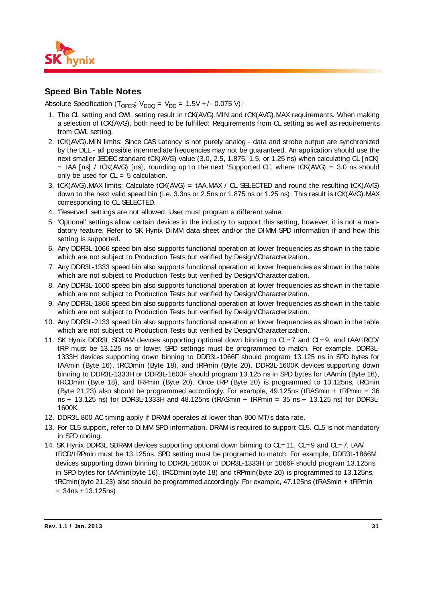

### **Speed Bin Table Notes**

Absolute Specification (T<sub>OPER</sub>;  $V_{DDO} = V_{DD} = 1.5V + 0.075 V$ );

- 1. The CL setting and CWL setting result in tCK(AVG).MIN and tCK(AVG).MAX requirements. When making a selection of tCK(AVG), both need to be fulfilled: Requirements from CL setting as well as requirements from CWL setting.
- 2. tCK(AVG).MIN limits: Since CAS Latency is not purely analog data and strobe output are synchronized by the DLL - all possible intermediate frequencies may not be guaranteed. An application should use the next smaller JEDEC standard tCK(AVG) value (3.0, 2.5, 1.875, 1.5, or 1.25 ns) when calculating CL [nCK] = tAA [ns] / tCK(AVG) [ns], rounding up to the next 'Supported CL', where tCK(AVG) = 3.0 ns should only be used for  $CL = 5$  calculation.
- 3. tCK(AVG).MAX limits: Calculate tCK(AVG) = tAA.MAX / CL SELECTED and round the resulting tCK(AVG) down to the next valid speed bin (i.e. 3.3ns or 2.5ns or 1.875 ns or 1.25 ns). This result is tCK(AVG).MAX corresponding to CL SELECTED.
- 4. 'Reserved' settings are not allowed. User must program a different value.
- 5. 'Optional' settings allow certain devices in the industry to support this setting, however, it is not a mandatory feature. Refer to SK Hynix DIMM data sheet and/or the DIMM SPD information if and how this setting is supported.
- 6. Any DDR3L-1066 speed bin also supports functional operation at lower frequencies as shown in the table which are not subject to Production Tests but verified by Design/Characterization.
- 7. Any DDR3L-1333 speed bin also supports functional operation at lower frequencies as shown in the table which are not subject to Production Tests but verified by Design/Characterization.
- 8. Any DDR3L-1600 speed bin also supports functional operation at lower frequencies as shown in the table which are not subject to Production Tests but verified by Design/Characterization.
- 9. Any DDR3L-1866 speed bin also supports functional operation at lower frequencies as shown in the table which are not subject to Production Tests but verified by Design/Characterization.
- 10. Any DDR3L-2133 speed bin also supports functional operation at lower frequencies as shown in the table which are not subject to Production Tests but verified by Design/Characterization.
- 11. SK Hynix DDR3L SDRAM devices supporting optional down binning to CL= 7 and CL= 9, and tAA/tRCD/ tRP must be 13.125 ns or lower. SPD settings must be programmed to match. For example, DDR3L-1333H devices supporting down binning to DDR3L-1066F should program 13.125 ns in SPD bytes for tAAmin (Byte 16), tRCDmin (Byte 18), and tRPmin (Byte 20). DDR3L-1600K devices supporting down binning to DDR3L-1333H or DDR3L-1600F should program 13.125 ns in SPD bytes for tAAmin (Byte 16), tRCDmin (Byte 18), and tRPmin (Byte 20). Once tRP (Byte 20) is programmed to 13.125ns, tRCmin (Byte 21,23) also should be programmed accordingly. For example, 49.125ns (tRASmin + tRPmin = 36 ns + 13.125 ns) for DDR3L-1333H and 48.125ns (tRASmin + tRPmin = 35 ns + 13.125 ns) for DDR3L-1600K.
- 12. DDR3L 800 AC timing apply if DRAM operates at lower than 800 MT/s data rate.
- 13. For CL5 support, refer to DIMM SPD information. DRAM is required to support CL5. CL5 is not mandatory in SPD coding.
- 14. SK Hynix DDR3L SDRAM devices supporting optional down binning to CL= 11, CL= 9 and CL= 7, tAA/ tRCD/tRPmin must be 13.125ns. SPD setting must be programed to match. For example, DDR3L-1866M devices supporting down binning to DDR3L-1600K or DDR3L-1333H or 1066F should program 13.125ns in SPD bytes for tAAmin(byte 16), tRCDmin(byte 18) and tRPmin(byte 20) is programmed to 13.125ns, tRCmin(byte 21,23) also should be programmed accordingly. For example, 47.125ns (tRASmin + tRPmin  $= 34$ ns + 13.125ns)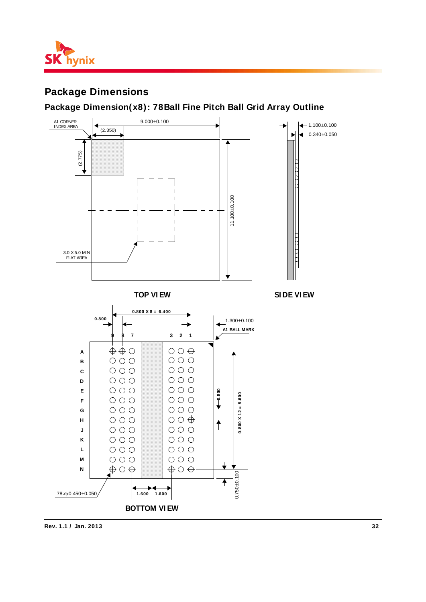

# **Package Dimensions**

### **Package Dimension(x8): 78Ball Fine Pitch Ball Grid Array Outline**